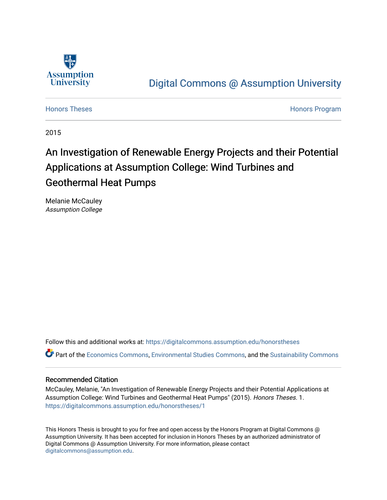

## [Digital Commons @ Assumption University](https://digitalcommons.assumption.edu/)

[Honors Theses](https://digitalcommons.assumption.edu/honorstheses) **Honors** Program

2015

# An Investigation of Renewable Energy Projects and their Potential Applications at Assumption College: Wind Turbines and Geothermal Heat Pumps

Melanie McCauley Assumption College

Follow this and additional works at: [https://digitalcommons.assumption.edu/honorstheses](https://digitalcommons.assumption.edu/honorstheses?utm_source=digitalcommons.assumption.edu%2Fhonorstheses%2F1&utm_medium=PDF&utm_campaign=PDFCoverPages)

Part of the [Economics Commons](http://network.bepress.com/hgg/discipline/340?utm_source=digitalcommons.assumption.edu%2Fhonorstheses%2F1&utm_medium=PDF&utm_campaign=PDFCoverPages), [Environmental Studies Commons,](http://network.bepress.com/hgg/discipline/1333?utm_source=digitalcommons.assumption.edu%2Fhonorstheses%2F1&utm_medium=PDF&utm_campaign=PDFCoverPages) and the [Sustainability Commons](http://network.bepress.com/hgg/discipline/1031?utm_source=digitalcommons.assumption.edu%2Fhonorstheses%2F1&utm_medium=PDF&utm_campaign=PDFCoverPages) 

#### Recommended Citation

McCauley, Melanie, "An Investigation of Renewable Energy Projects and their Potential Applications at Assumption College: Wind Turbines and Geothermal Heat Pumps" (2015). Honors Theses. 1. [https://digitalcommons.assumption.edu/honorstheses/1](https://digitalcommons.assumption.edu/honorstheses/1?utm_source=digitalcommons.assumption.edu%2Fhonorstheses%2F1&utm_medium=PDF&utm_campaign=PDFCoverPages) 

This Honors Thesis is brought to you for free and open access by the Honors Program at Digital Commons @ Assumption University. It has been accepted for inclusion in Honors Theses by an authorized administrator of Digital Commons @ Assumption University. For more information, please contact [digitalcommons@assumption.edu](mailto:digitalcommons@assumption.edu).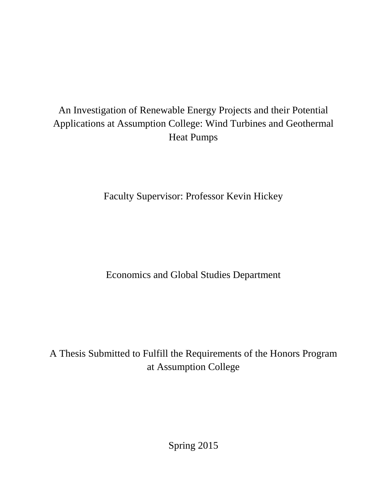# An Investigation of Renewable Energy Projects and their Potential Applications at Assumption College: Wind Turbines and Geothermal Heat Pumps

Faculty Supervisor: Professor Kevin Hickey

Economics and Global Studies Department

A Thesis Submitted to Fulfill the Requirements of the Honors Program at Assumption College

Spring 2015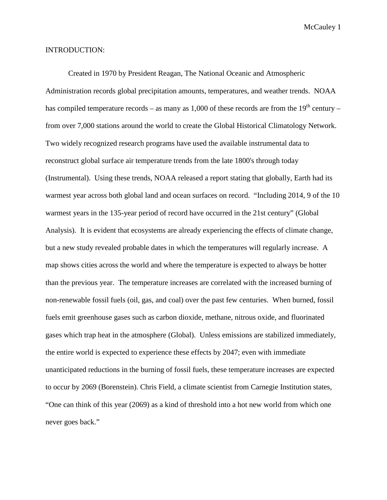#### INTRODUCTION:

Created in 1970 by President Reagan, The National Oceanic and Atmospheric Administration records global precipitation amounts, temperatures, and weather trends. NOAA has compiled temperature records – as many as 1,000 of these records are from the  $19<sup>th</sup>$  century – from over 7,000 stations around the world to create the Global Historical Climatology Network. Two widely recognized research programs have used the available instrumental data to reconstruct global surface air temperature trends from the late 1800's through today (Instrumental). Using these trends, NOAA released a report stating that globally, Earth had its warmest year across both global land and ocean surfaces on record. "Including 2014, 9 of the 10 warmest years in the 135-year period of record have occurred in the 21st century" (Global Analysis). It is evident that ecosystems are already experiencing the effects of climate change, but a new study revealed probable dates in which the temperatures will regularly increase. A map shows cities across the world and where the temperature is expected to always be hotter than the previous year. The temperature increases are correlated with the increased burning of non-renewable fossil fuels (oil, gas, and coal) over the past few centuries. When burned, fossil fuels emit greenhouse gases such as carbon dioxide, methane, nitrous oxide, and fluorinated gases which trap heat in the atmosphere (Global). Unless emissions are stabilized immediately, the entire world is expected to experience these effects by 2047; even with immediate unanticipated reductions in the burning of fossil fuels, these temperature increases are expected to occur by 2069 (Borenstein). Chris Field, a climate scientist from Carnegie Institution states, "One can think of this year (2069) as a kind of threshold into a hot new world from which one never goes back."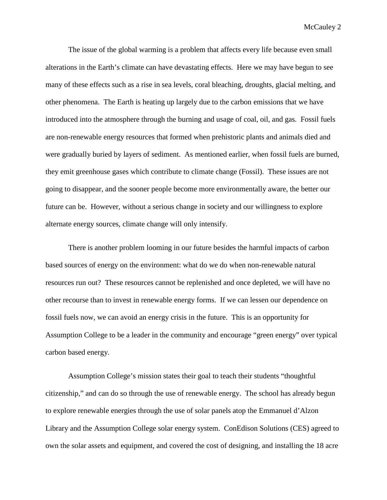The issue of the global warming is a problem that affects every life because even small alterations in the Earth's climate can have devastating effects. Here we may have begun to see many of these effects such as a rise in sea levels, coral bleaching, droughts, glacial melting, and other phenomena. The Earth is heating up largely due to the carbon emissions that we have introduced into the atmosphere through the burning and usage of coal, oil, and gas. Fossil fuels are non-renewable energy resources that formed when prehistoric plants and animals died and were gradually buried by layers of sediment. As mentioned earlier, when fossil fuels are burned, they emit greenhouse gases which contribute to climate change (Fossil). These issues are not going to disappear, and the sooner people become more environmentally aware, the better our future can be. However, without a serious change in society and our willingness to explore alternate energy sources, climate change will only intensify.

There is another problem looming in our future besides the harmful impacts of carbon based sources of energy on the environment: what do we do when non-renewable natural resources run out? These resources cannot be replenished and once depleted, we will have no other recourse than to invest in renewable energy forms. If we can lessen our dependence on fossil fuels now, we can avoid an energy crisis in the future. This is an opportunity for Assumption College to be a leader in the community and encourage "green energy" over typical carbon based energy.

Assumption College's mission states their goal to teach their students "thoughtful citizenship," and can do so through the use of renewable energy. The school has already begun to explore renewable energies through the use of solar panels atop the Emmanuel d'Alzon Library and the Assumption College solar energy system. ConEdison Solutions (CES) agreed to own the solar assets and equipment, and covered the cost of designing, and installing the 18 acre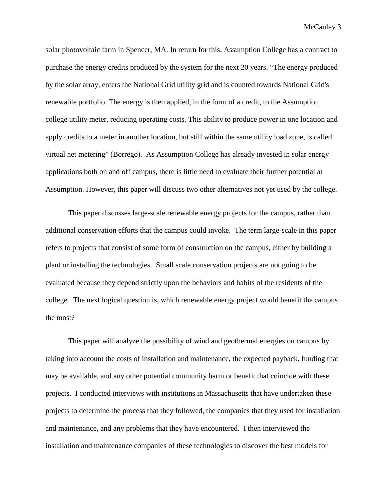solar photovoltaic farm in Spencer, MA. In return for this, Assumption College has a contract to purchase the energy credits produced by the system for the next 20 years. "The energy produced by the solar array, enters the National Grid utility grid and is counted towards National Grid's renewable portfolio. The energy is then applied, in the form of a credit, to the Assumption college utility meter, reducing operating costs. This ability to produce power in one location and apply credits to a meter in another location, but still within the same utility load zone, is called virtual net metering" (Borrego). As Assumption College has already invested in solar energy applications both on and off campus, there is little need to evaluate their further potential at Assumption. However, this paper will discuss two other alternatives not yet used by the college.

This paper discusses large-scale renewable energy projects for the campus, rather than additional conservation efforts that the campus could invoke. The term large-scale in this paper refers to projects that consist of some form of construction on the campus, either by building a plant or installing the technologies. Small scale conservation projects are not going to be evaluated because they depend strictly upon the behaviors and habits of the residents of the college. The next logical question is, which renewable energy project would benefit the campus the most?

This paper will analyze the possibility of wind and geothermal energies on campus by taking into account the costs of installation and maintenance, the expected payback, funding that may be available, and any other potential community harm or benefit that coincide with these projects. I conducted interviews with institutions in Massachusetts that have undertaken these projects to determine the process that they followed, the companies that they used for installation and maintenance, and any problems that they have encountered. I then interviewed the installation and maintenance companies of these technologies to discover the best models for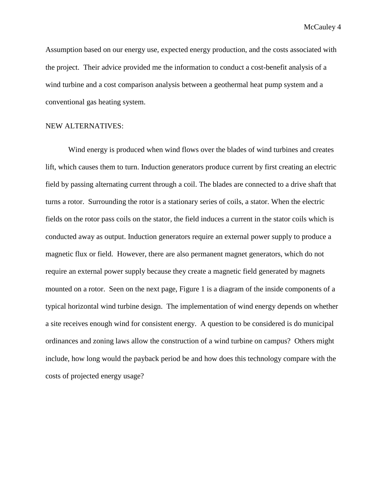Assumption based on our energy use, expected energy production, and the costs associated with the project. Their advice provided me the information to conduct a cost-benefit analysis of a wind turbine and a cost comparison analysis between a geothermal heat pump system and a conventional gas heating system.

### NEW ALTERNATIVES:

Wind energy is produced when wind flows over the blades of wind turbines and creates lift, which causes them to turn. Induction generators produce current by first creating an electric field by passing alternating current through a coil. The blades are connected to a drive shaft that turns a rotor. Surrounding the rotor is a stationary series of coils, a stator. When the electric fields on the rotor pass coils on the stator, the field induces a current in the stator coils which is conducted away as output. Induction generators require an external power supply to produce a magnetic flux or field. However, there are also permanent magnet generators, which do not require an external power supply because they create a magnetic field generated by magnets mounted on a rotor. Seen on the next page, Figure 1 is a diagram of the inside components of a typical horizontal wind turbine design. The implementation of wind energy depends on whether a site receives enough wind for consistent energy. A question to be considered is do municipal ordinances and zoning laws allow the construction of a wind turbine on campus? Others might include, how long would the payback period be and how does this technology compare with the costs of projected energy usage?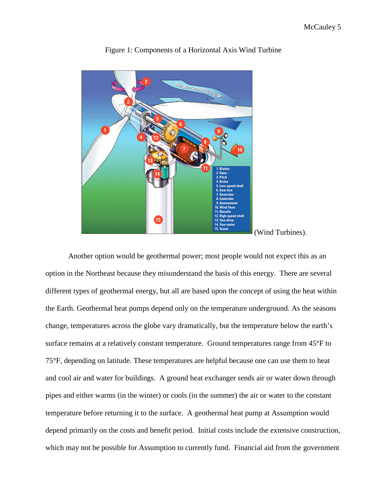

Figure 1: Components of a Horizontal Axis Wind Turbine

Another option would be geothermal power; most people would not expect this as an option in the Northeast because they misunderstand the basis of this energy. There are several different types of geothermal energy, but all are based upon the concept of using the heat within the Earth. Geothermal heat pumps depend only on the temperature underground. As the seasons change, temperatures across the globe vary dramatically, but the temperature below the earth's surface remains at a relatively constant temperature. Ground temperatures range from 45°F to 75°F, depending on latitude. These temperatures are helpful because one can use them to heat and cool air and water for buildings. A ground heat exchanger sends air or water down through pipes and either warms (in the winter) or cools (in the summer) the air or water to the constant temperature before returning it to the surface. A geothermal heat pump at Assumption would depend primarily on the costs and benefit period. Initial costs include the extensive construction, which may not be possible for Assumption to currently fund. Financial aid from the government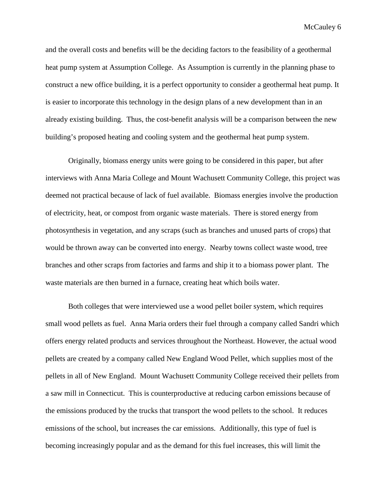and the overall costs and benefits will be the deciding factors to the feasibility of a geothermal heat pump system at Assumption College. As Assumption is currently in the planning phase to construct a new office building, it is a perfect opportunity to consider a geothermal heat pump. It is easier to incorporate this technology in the design plans of a new development than in an already existing building. Thus, the cost-benefit analysis will be a comparison between the new building's proposed heating and cooling system and the geothermal heat pump system.

Originally, biomass energy units were going to be considered in this paper, but after interviews with Anna Maria College and Mount Wachusett Community College, this project was deemed not practical because of lack of fuel available. Biomass energies involve the production of electricity, heat, or compost from organic waste materials. There is stored energy from photosynthesis in vegetation, and any scraps (such as branches and unused parts of crops) that would be thrown away can be converted into energy. Nearby towns collect waste wood, tree branches and other scraps from factories and farms and ship it to a biomass power plant. The waste materials are then burned in a furnace, creating heat which boils water.

Both colleges that were interviewed use a wood pellet boiler system, which requires small wood pellets as fuel. Anna Maria orders their fuel through a company called Sandri which offers energy related products and services throughout the Northeast. However, the actual wood pellets are created by a company called New England Wood Pellet, which supplies most of the pellets in all of New England. Mount Wachusett Community College received their pellets from a saw mill in Connecticut. This is counterproductive at reducing carbon emissions because of the emissions produced by the trucks that transport the wood pellets to the school. It reduces emissions of the school, but increases the car emissions. Additionally, this type of fuel is becoming increasingly popular and as the demand for this fuel increases, this will limit the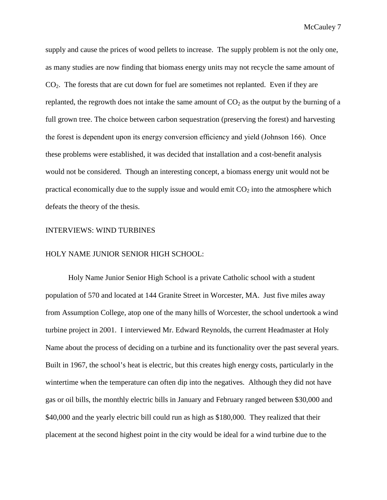supply and cause the prices of wood pellets to increase. The supply problem is not the only one, as many studies are now finding that biomass energy units may not recycle the same amount of  $CO<sub>2</sub>$ . The forests that are cut down for fuel are sometimes not replanted. Even if they are replanted, the regrowth does not intake the same amount of  $CO<sub>2</sub>$  as the output by the burning of a full grown tree. The choice between carbon sequestration (preserving the forest) and harvesting the forest is dependent upon its energy conversion efficiency and yield (Johnson 166). Once these problems were established, it was decided that installation and a cost-benefit analysis would not be considered. Though an interesting concept, a biomass energy unit would not be practical economically due to the supply issue and would emit  $CO<sub>2</sub>$  into the atmosphere which defeats the theory of the thesis.

#### INTERVIEWS: WIND TURBINES

#### HOLY NAME JUNIOR SENIOR HIGH SCHOOL:

Holy Name Junior Senior High School is a private Catholic school with a student population of 570 and located at 144 Granite Street in Worcester, MA. Just five miles away from Assumption College, atop one of the many hills of Worcester, the school undertook a wind turbine project in 2001. I interviewed Mr. Edward Reynolds, the current Headmaster at Holy Name about the process of deciding on a turbine and its functionality over the past several years. Built in 1967, the school's heat is electric, but this creates high energy costs, particularly in the wintertime when the temperature can often dip into the negatives. Although they did not have gas or oil bills, the monthly electric bills in January and February ranged between \$30,000 and \$40,000 and the yearly electric bill could run as high as \$180,000. They realized that their placement at the second highest point in the city would be ideal for a wind turbine due to the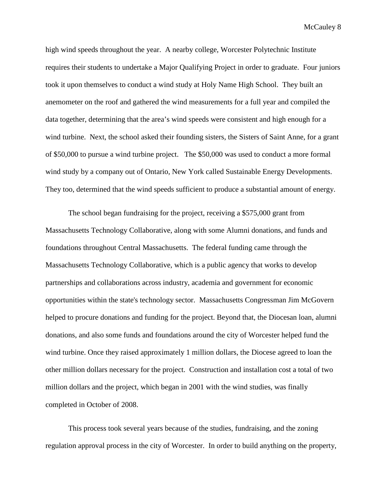high wind speeds throughout the year. A nearby college, Worcester Polytechnic Institute requires their students to undertake a Major Qualifying Project in order to graduate. Four juniors took it upon themselves to conduct a wind study at Holy Name High School. They built an anemometer on the roof and gathered the wind measurements for a full year and compiled the data together, determining that the area's wind speeds were consistent and high enough for a wind turbine. Next, the school asked their founding sisters, the Sisters of Saint Anne, for a grant of \$50,000 to pursue a wind turbine project. The \$50,000 was used to conduct a more formal wind study by a company out of Ontario, New York called Sustainable Energy Developments. They too, determined that the wind speeds sufficient to produce a substantial amount of energy.

The school began fundraising for the project, receiving a \$575,000 grant from Massachusetts Technology Collaborative, along with some Alumni donations, and funds and foundations throughout Central Massachusetts. The federal funding came through the Massachusetts Technology Collaborative, which is a public agency that works to develop partnerships and collaborations across industry, academia and government for economic opportunities within the state's technology sector. Massachusetts Congressman Jim McGovern helped to procure donations and funding for the project. Beyond that, the Diocesan loan, alumni donations, and also some funds and foundations around the city of Worcester helped fund the wind turbine. Once they raised approximately 1 million dollars, the Diocese agreed to loan the other million dollars necessary for the project. Construction and installation cost a total of two million dollars and the project, which began in 2001 with the wind studies, was finally completed in October of 2008.

This process took several years because of the studies, fundraising, and the zoning regulation approval process in the city of Worcester. In order to build anything on the property,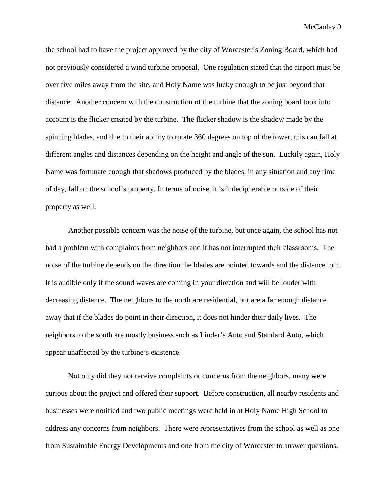the school had to have the project approved by the city of Worcester's Zoning Board, which had not previously considered a wind turbine proposal. One regulation stated that the airport must be over five miles away from the site, and Holy Name was lucky enough to be just beyond that distance. Another concern with the construction of the turbine that the zoning board took into account is the flicker created by the turbine. The flicker shadow is the shadow made by the spinning blades, and due to their ability to rotate 360 degrees on top of the tower, this can fall at different angles and distances depending on the height and angle of the sun. Luckily again, Holy Name was fortunate enough that shadows produced by the blades, in any situation and any time of day, fall on the school's property. In terms of noise, it is indecipherable outside of their property as well.

Another possible concern was the noise of the turbine, but once again, the school has not had a problem with complaints from neighbors and it has not interrupted their classrooms. The noise of the turbine depends on the direction the blades are pointed towards and the distance to it. It is audible only if the sound waves are coming in your direction and will be louder with decreasing distance. The neighbors to the north are residential, but are a far enough distance away that if the blades do point in their direction, it does not hinder their daily lives. The neighbors to the south are mostly business such as Linder's Auto and Standard Auto, which appear unaffected by the turbine's existence.

Not only did they not receive complaints or concerns from the neighbors, many were curious about the project and offered their support. Before construction, all nearby residents and businesses were notified and two public meetings were held in at Holy Name High School to address any concerns from neighbors. There were representatives from the school as well as one from Sustainable Energy Developments and one from the city of Worcester to answer questions.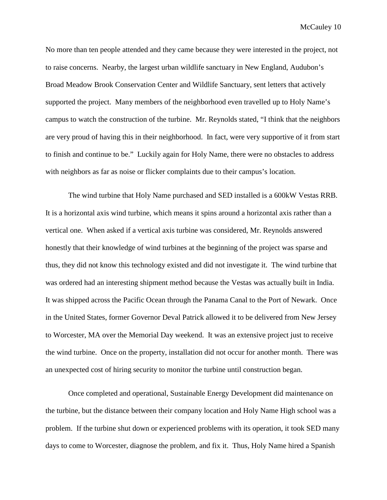No more than ten people attended and they came because they were interested in the project, not to raise concerns. Nearby, the largest urban wildlife sanctuary in New England, Audubon's Broad Meadow Brook Conservation Center and Wildlife Sanctuary, sent letters that actively supported the project. Many members of the neighborhood even travelled up to Holy Name's campus to watch the construction of the turbine. Mr. Reynolds stated, "I think that the neighbors are very proud of having this in their neighborhood. In fact, were very supportive of it from start to finish and continue to be." Luckily again for Holy Name, there were no obstacles to address with neighbors as far as noise or flicker complaints due to their campus's location.

The wind turbine that Holy Name purchased and SED installed is a 600kW Vestas RRB. It is a horizontal axis wind turbine, which means it spins around a horizontal axis rather than a vertical one. When asked if a vertical axis turbine was considered, Mr. Reynolds answered honestly that their knowledge of wind turbines at the beginning of the project was sparse and thus, they did not know this technology existed and did not investigate it. The wind turbine that was ordered had an interesting shipment method because the Vestas was actually built in India. It was shipped across the Pacific Ocean through the Panama Canal to the Port of Newark. Once in the United States, former Governor Deval Patrick allowed it to be delivered from New Jersey to Worcester, MA over the Memorial Day weekend. It was an extensive project just to receive the wind turbine. Once on the property, installation did not occur for another month. There was an unexpected cost of hiring security to monitor the turbine until construction began.

Once completed and operational, Sustainable Energy Development did maintenance on the turbine, but the distance between their company location and Holy Name High school was a problem. If the turbine shut down or experienced problems with its operation, it took SED many days to come to Worcester, diagnose the problem, and fix it. Thus, Holy Name hired a Spanish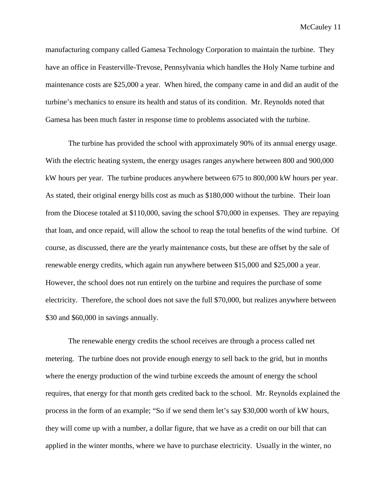manufacturing company called Gamesa Technology Corporation to maintain the turbine. They have an office in Feasterville-Trevose, Pennsylvania which handles the Holy Name turbine and maintenance costs are \$25,000 a year. When hired, the company came in and did an audit of the turbine's mechanics to ensure its health and status of its condition. Mr. Reynolds noted that Gamesa has been much faster in response time to problems associated with the turbine.

The turbine has provided the school with approximately 90% of its annual energy usage. With the electric heating system, the energy usages ranges anywhere between 800 and 900,000 kW hours per year. The turbine produces anywhere between 675 to 800,000 kW hours per year. As stated, their original energy bills cost as much as \$180,000 without the turbine. Their loan from the Diocese totaled at \$110,000, saving the school \$70,000 in expenses. They are repaying that loan, and once repaid, will allow the school to reap the total benefits of the wind turbine. Of course, as discussed, there are the yearly maintenance costs, but these are offset by the sale of renewable energy credits, which again run anywhere between \$15,000 and \$25,000 a year. However, the school does not run entirely on the turbine and requires the purchase of some electricity. Therefore, the school does not save the full \$70,000, but realizes anywhere between \$30 and \$60,000 in savings annually.

The renewable energy credits the school receives are through a process called net metering. The turbine does not provide enough energy to sell back to the grid, but in months where the energy production of the wind turbine exceeds the amount of energy the school requires, that energy for that month gets credited back to the school. Mr. Reynolds explained the process in the form of an example; "So if we send them let's say \$30,000 worth of kW hours, they will come up with a number, a dollar figure, that we have as a credit on our bill that can applied in the winter months, where we have to purchase electricity. Usually in the winter, no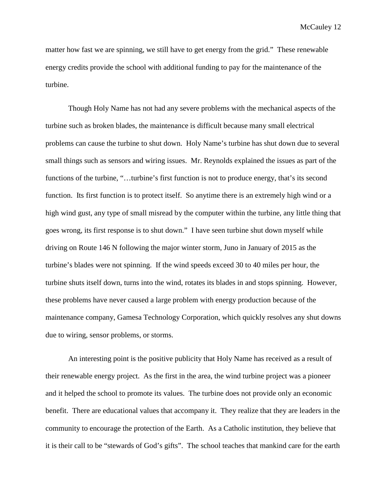matter how fast we are spinning, we still have to get energy from the grid." These renewable energy credits provide the school with additional funding to pay for the maintenance of the turbine.

Though Holy Name has not had any severe problems with the mechanical aspects of the turbine such as broken blades, the maintenance is difficult because many small electrical problems can cause the turbine to shut down. Holy Name's turbine has shut down due to several small things such as sensors and wiring issues. Mr. Reynolds explained the issues as part of the functions of the turbine, "…turbine's first function is not to produce energy, that's its second function. Its first function is to protect itself. So anytime there is an extremely high wind or a high wind gust, any type of small misread by the computer within the turbine, any little thing that goes wrong, its first response is to shut down." I have seen turbine shut down myself while driving on Route 146 N following the major winter storm, Juno in January of 2015 as the turbine's blades were not spinning. If the wind speeds exceed 30 to 40 miles per hour, the turbine shuts itself down, turns into the wind, rotates its blades in and stops spinning. However, these problems have never caused a large problem with energy production because of the maintenance company, Gamesa Technology Corporation, which quickly resolves any shut downs due to wiring, sensor problems, or storms.

An interesting point is the positive publicity that Holy Name has received as a result of their renewable energy project. As the first in the area, the wind turbine project was a pioneer and it helped the school to promote its values. The turbine does not provide only an economic benefit. There are educational values that accompany it. They realize that they are leaders in the community to encourage the protection of the Earth. As a Catholic institution, they believe that it is their call to be "stewards of God's gifts". The school teaches that mankind care for the earth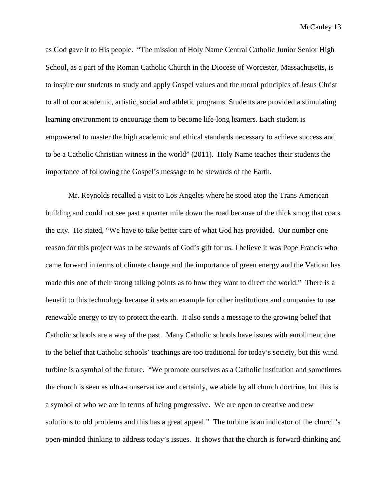as God gave it to His people. "The mission of Holy Name Central Catholic Junior Senior High School, as a part of the Roman Catholic Church in the Diocese of Worcester, Massachusetts, is to inspire our students to study and apply Gospel values and the moral principles of Jesus Christ to all of our academic, artistic, social and athletic programs. Students are provided a stimulating learning environment to encourage them to become life-long learners. Each student is empowered to master the high academic and ethical standards necessary to achieve success and to be a Catholic Christian witness in the world" (2011). Holy Name teaches their students the importance of following the Gospel's message to be stewards of the Earth.

Mr. Reynolds recalled a visit to Los Angeles where he stood atop the Trans American building and could not see past a quarter mile down the road because of the thick smog that coats the city. He stated, "We have to take better care of what God has provided. Our number one reason for this project was to be stewards of God's gift for us. I believe it was Pope Francis who came forward in terms of climate change and the importance of green energy and the Vatican has made this one of their strong talking points as to how they want to direct the world." There is a benefit to this technology because it sets an example for other institutions and companies to use renewable energy to try to protect the earth. It also sends a message to the growing belief that Catholic schools are a way of the past. Many Catholic schools have issues with enrollment due to the belief that Catholic schools' teachings are too traditional for today's society, but this wind turbine is a symbol of the future. "We promote ourselves as a Catholic institution and sometimes the church is seen as ultra-conservative and certainly, we abide by all church doctrine, but this is a symbol of who we are in terms of being progressive. We are open to creative and new solutions to old problems and this has a great appeal." The turbine is an indicator of the church's open-minded thinking to address today's issues. It shows that the church is forward-thinking and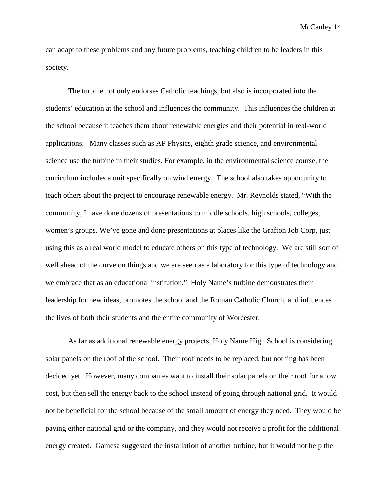can adapt to these problems and any future problems, teaching children to be leaders in this society.

The turbine not only endorses Catholic teachings, but also is incorporated into the students' education at the school and influences the community. This influences the children at the school because it teaches them about renewable energies and their potential in real-world applications. Many classes such as AP Physics, eighth grade science, and environmental science use the turbine in their studies. For example, in the environmental science course, the curriculum includes a unit specifically on wind energy. The school also takes opportunity to teach others about the project to encourage renewable energy. Mr. Reynolds stated, "With the community, I have done dozens of presentations to middle schools, high schools, colleges, women's groups. We've gone and done presentations at places like the Grafton Job Corp, just using this as a real world model to educate others on this type of technology. We are still sort of well ahead of the curve on things and we are seen as a laboratory for this type of technology and we embrace that as an educational institution." Holy Name's turbine demonstrates their leadership for new ideas, promotes the school and the Roman Catholic Church, and influences the lives of both their students and the entire community of Worcester.

As far as additional renewable energy projects, Holy Name High School is considering solar panels on the roof of the school. Their roof needs to be replaced, but nothing has been decided yet. However, many companies want to install their solar panels on their roof for a low cost, but then sell the energy back to the school instead of going through national grid. It would not be beneficial for the school because of the small amount of energy they need. They would be paying either national grid or the company, and they would not receive a profit for the additional energy created. Gamesa suggested the installation of another turbine, but it would not help the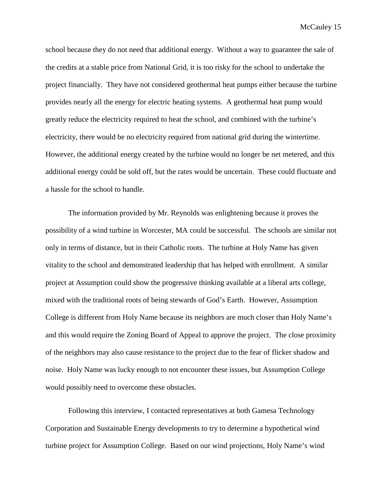school because they do not need that additional energy. Without a way to guarantee the sale of the credits at a stable price from National Grid, it is too risky for the school to undertake the project financially. They have not considered geothermal heat pumps either because the turbine provides nearly all the energy for electric heating systems. A geothermal heat pump would greatly reduce the electricity required to heat the school, and combined with the turbine's electricity, there would be no electricity required from national grid during the wintertime. However, the additional energy created by the turbine would no longer be net metered, and this additional energy could be sold off, but the rates would be uncertain. These could fluctuate and a hassle for the school to handle.

The information provided by Mr. Reynolds was enlightening because it proves the possibility of a wind turbine in Worcester, MA could be successful. The schools are similar not only in terms of distance, but in their Catholic roots. The turbine at Holy Name has given vitality to the school and demonstrated leadership that has helped with enrollment. A similar project at Assumption could show the progressive thinking available at a liberal arts college, mixed with the traditional roots of being stewards of God's Earth. However, Assumption College is different from Holy Name because its neighbors are much closer than Holy Name's and this would require the Zoning Board of Appeal to approve the project. The close proximity of the neighbors may also cause resistance to the project due to the fear of flicker shadow and noise. Holy Name was lucky enough to not encounter these issues, but Assumption College would possibly need to overcome these obstacles.

Following this interview, I contacted representatives at both Gamesa Technology Corporation and Sustainable Energy developments to try to determine a hypothetical wind turbine project for Assumption College. Based on our wind projections, Holy Name's wind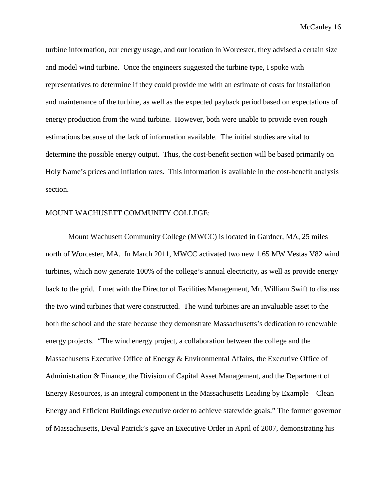turbine information, our energy usage, and our location in Worcester, they advised a certain size and model wind turbine. Once the engineers suggested the turbine type, I spoke with representatives to determine if they could provide me with an estimate of costs for installation and maintenance of the turbine, as well as the expected payback period based on expectations of energy production from the wind turbine. However, both were unable to provide even rough estimations because of the lack of information available. The initial studies are vital to determine the possible energy output. Thus, the cost-benefit section will be based primarily on Holy Name's prices and inflation rates. This information is available in the cost-benefit analysis section.

#### MOUNT WACHUSETT COMMUNITY COLLEGE:

Mount Wachusett Community College (MWCC) is located in Gardner, MA, 25 miles north of Worcester, MA. In March 2011, MWCC activated two new 1.65 MW Vestas V82 wind turbines, which now generate 100% of the college's annual electricity, as well as provide energy back to the grid. I met with the Director of Facilities Management, Mr. William Swift to discuss the two wind turbines that were constructed. The wind turbines are an invaluable asset to the both the school and the state because they demonstrate Massachusetts's dedication to renewable energy projects. "The wind energy project, a collaboration between the college and the Massachusetts Executive Office of Energy & Environmental Affairs, the Executive Office of Administration & Finance, the Division of Capital Asset Management, and the Department of Energy Resources, is an integral component in the Massachusetts Leading by Example – Clean Energy and Efficient Buildings executive order to achieve statewide goals." The former governor of Massachusetts, Deval Patrick's gave an Executive Order in April of 2007, demonstrating his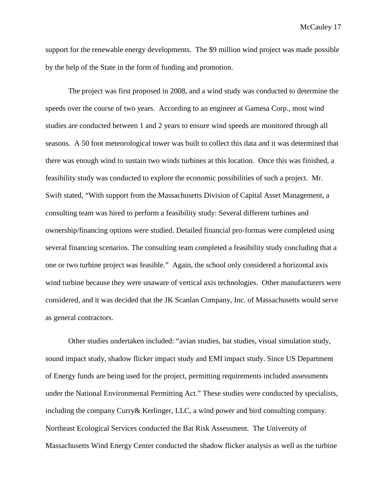support for the renewable energy developments. The \$9 million wind project was made possible by the help of the State in the form of funding and promotion.

The project was first proposed in 2008, and a wind study was conducted to determine the speeds over the course of two years. According to an engineer at Gamesa Corp., most wind studies are conducted between 1 and 2 years to ensure wind speeds are monitored through all seasons. A 50 foot meteorological tower was built to collect this data and it was determined that there was enough wind to sustain two winds turbines at this location. Once this was finished, a feasibility study was conducted to explore the economic possibilities of such a project. Mr. Swift stated, "With support from the Massachusetts Division of Capital Asset Management, a consulting team was hired to perform a feasibility study: Several different turbines and ownership/financing options were studied. Detailed financial pro-formas were completed using several financing scenarios. The consulting team completed a feasibility study concluding that a one or two turbine project was feasible." Again, the school only considered a horizontal axis wind turbine because they were unaware of vertical axis technologies. Other manufacturers were considered, and it was decided that the JK Scanlan Company, Inc. of Massachusetts would serve as general contractors.

Other studies undertaken included: "avian studies, bat studies, visual simulation study, sound impact study, shadow flicker impact study and EMI impact study. Since US Department of Energy funds are being used for the project, permitting requirements included assessments under the National Environmental Permitting Act." These studies were conducted by specialists, including the company Curry& Kerlinger, LLC, a wind power and bird consulting company. Northeast Ecological Services conducted the Bat Risk Assessment. The University of Massachusetts Wind Energy Center conducted the shadow flicker analysis as well as the turbine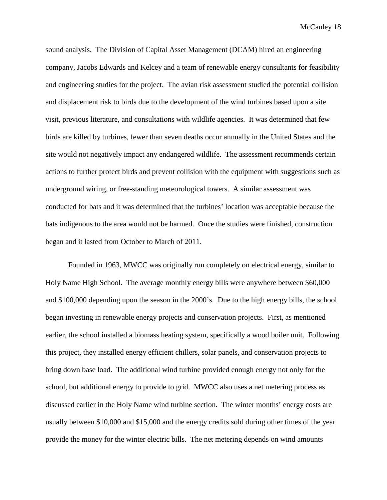sound analysis. The Division of Capital Asset Management (DCAM) hired an engineering company, Jacobs Edwards and Kelcey and a team of renewable energy consultants for feasibility and engineering studies for the project. The avian risk assessment studied the potential collision and displacement risk to birds due to the development of the wind turbines based upon a site visit, previous literature, and consultations with wildlife agencies. It was determined that few birds are killed by turbines, fewer than seven deaths occur annually in the United States and the site would not negatively impact any endangered wildlife. The assessment recommends certain actions to further protect birds and prevent collision with the equipment with suggestions such as underground wiring, or free-standing meteorological towers. A similar assessment was conducted for bats and it was determined that the turbines' location was acceptable because the bats indigenous to the area would not be harmed. Once the studies were finished, construction began and it lasted from October to March of 2011.

Founded in 1963, MWCC was originally run completely on electrical energy, similar to Holy Name High School. The average monthly energy bills were anywhere between \$60,000 and \$100,000 depending upon the season in the 2000's. Due to the high energy bills, the school began investing in renewable energy projects and conservation projects. First, as mentioned earlier, the school installed a biomass heating system, specifically a wood boiler unit. Following this project, they installed energy efficient chillers, solar panels, and conservation projects to bring down base load. The additional wind turbine provided enough energy not only for the school, but additional energy to provide to grid. MWCC also uses a net metering process as discussed earlier in the Holy Name wind turbine section. The winter months' energy costs are usually between \$10,000 and \$15,000 and the energy credits sold during other times of the year provide the money for the winter electric bills. The net metering depends on wind amounts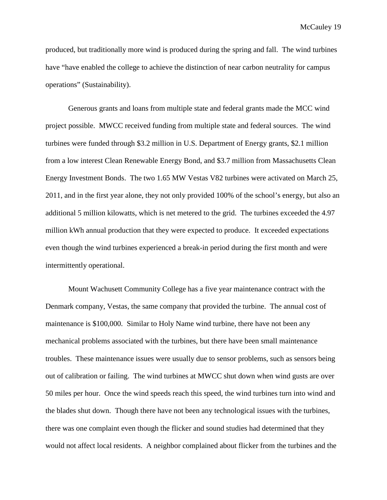produced, but traditionally more wind is produced during the spring and fall. The wind turbines have "have enabled the college to achieve the distinction of near carbon neutrality for campus operations" (Sustainability).

Generous grants and loans from multiple state and federal grants made the MCC wind project possible. MWCC received funding from multiple state and federal sources. The wind turbines were funded through \$3.2 million in U.S. Department of Energy grants, \$2.1 million from a low interest Clean Renewable Energy Bond, and \$3.7 million from Massachusetts Clean Energy Investment Bonds. The two 1.65 MW Vestas V82 turbines were activated on March 25, 2011, and in the first year alone, they not only provided 100% of the school's energy, but also an additional 5 million kilowatts, which is net metered to the grid. The turbines exceeded the 4.97 million kWh annual production that they were expected to produce. It exceeded expectations even though the wind turbines experienced a break-in period during the first month and were intermittently operational.

Mount Wachusett Community College has a five year maintenance contract with the Denmark company, Vestas, the same company that provided the turbine. The annual cost of maintenance is \$100,000. Similar to Holy Name wind turbine, there have not been any mechanical problems associated with the turbines, but there have been small maintenance troubles. These maintenance issues were usually due to sensor problems, such as sensors being out of calibration or failing. The wind turbines at MWCC shut down when wind gusts are over 50 miles per hour. Once the wind speeds reach this speed, the wind turbines turn into wind and the blades shut down. Though there have not been any technological issues with the turbines, there was one complaint even though the flicker and sound studies had determined that they would not affect local residents. A neighbor complained about flicker from the turbines and the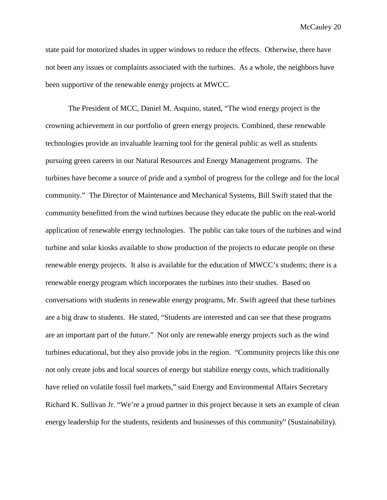state paid for motorized shades in upper windows to reduce the effects. Otherwise, there have not been any issues or complaints associated with the turbines. As a whole, the neighbors have been supportive of the renewable energy projects at MWCC.

The President of MCC, Daniel M. Asquino, stated, "The wind energy project is the crowning achievement in our portfolio of green energy projects. Combined, these renewable technologies provide an invaluable learning tool for the general public as well as students pursuing green careers in our Natural Resources and Energy Management programs. The turbines have become a source of pride and a symbol of progress for the college and for the local community." The Director of Maintenance and Mechanical Systems, Bill Swift stated that the community benefitted from the wind turbines because they educate the public on the real-world application of renewable energy technologies. The public can take tours of the turbines and wind turbine and solar kiosks available to show production of the projects to educate people on these renewable energy projects. It also is available for the education of MWCC's students; there is a renewable energy program which incorporates the turbines into their studies. Based on conversations with students in renewable energy programs, Mr. Swift agreed that these turbines are a big draw to students. He stated, "Students are interested and can see that these programs are an important part of the future." Not only are renewable energy projects such as the wind turbines educational, but they also provide jobs in the region. "Community projects like this one not only create jobs and local sources of energy but stabilize energy costs, which traditionally have relied on volatile fossil fuel markets," said Energy and Environmental Affairs Secretary Richard K. Sullivan Jr. "We're a proud partner in this project because it sets an example of clean energy leadership for the students, residents and businesses of this community" (Sustainability).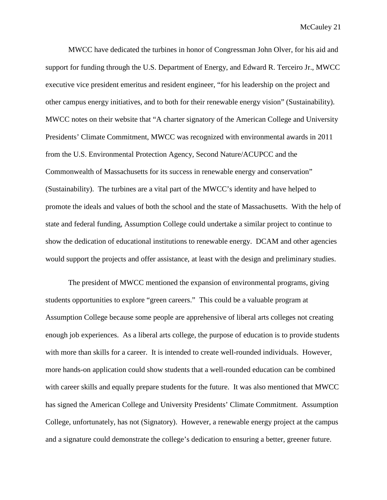MWCC have dedicated the turbines in honor of Congressman John Olver, for his aid and support for funding through the U.S. Department of Energy, and Edward R. Terceiro Jr., MWCC executive vice president emeritus and resident engineer, "for his leadership on the project and other campus energy initiatives, and to both for their renewable energy vision" (Sustainability). MWCC notes on their website that "A charter signatory of the American College and University Presidents' Climate Commitment, MWCC was recognized with environmental awards in 2011 from the U.S. Environmental Protection Agency, Second Nature/ACUPCC and the Commonwealth of Massachusetts for its success in renewable energy and conservation" (Sustainability). The turbines are a vital part of the MWCC's identity and have helped to promote the ideals and values of both the school and the state of Massachusetts. With the help of state and federal funding, Assumption College could undertake a similar project to continue to show the dedication of educational institutions to renewable energy. DCAM and other agencies would support the projects and offer assistance, at least with the design and preliminary studies.

The president of MWCC mentioned the expansion of environmental programs, giving students opportunities to explore "green careers." This could be a valuable program at Assumption College because some people are apprehensive of liberal arts colleges not creating enough job experiences. As a liberal arts college, the purpose of education is to provide students with more than skills for a career. It is intended to create well-rounded individuals. However, more hands-on application could show students that a well-rounded education can be combined with career skills and equally prepare students for the future. It was also mentioned that MWCC has signed the American College and University Presidents' Climate Commitment. Assumption College, unfortunately, has not (Signatory). However, a renewable energy project at the campus and a signature could demonstrate the college's dedication to ensuring a better, greener future.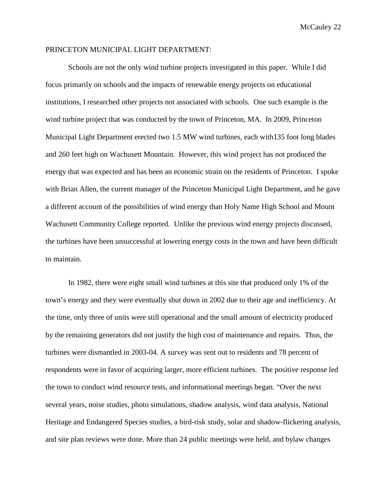#### PRINCETON MUNICIPAL LIGHT DEPARTMENT:

Schools are not the only wind turbine projects investigated in this paper. While I did focus primarily on schools and the impacts of renewable energy projects on educational institutions, I researched other projects not associated with schools. One such example is the wind turbine project that was conducted by the town of Princeton, MA. In 2009, Princeton Municipal Light Department erected two 1.5 MW wind turbines, each with135 foot long blades and 260 feet high on Wachusett Mountain. However, this wind project has not produced the energy that was expected and has been an economic strain on the residents of Princeton. I spoke with Brian Allen, the current manager of the Princeton Municipal Light Department, and he gave a different account of the possibilities of wind energy than Holy Name High School and Mount Wachusett Community College reported. Unlike the previous wind energy projects discussed, the turbines have been unsuccessful at lowering energy costs in the town and have been difficult to maintain.

In 1982, there were eight small wind turbines at this site that produced only 1% of the town's energy and they were eventually shut down in 2002 due to their age and inefficiency. At the time, only three of units were still operational and the small amount of electricity produced by the remaining generators did not justify the high cost of maintenance and repairs. Thus, the turbines were dismantled in 2003-04. A survey was sent out to residents and 78 percent of respondents were in favor of acquiring larger, more efficient turbines. The positive response led the town to conduct wind resource tests, and informational meetings began. "Over the next several years, noise studies, photo simulations, shadow analysis, wind data analysis, National Heritage and Endangered Species studies, a bird-risk study, solar and shadow-flickering analysis, and site plan reviews were done. More than 24 public meetings were held, and bylaw changes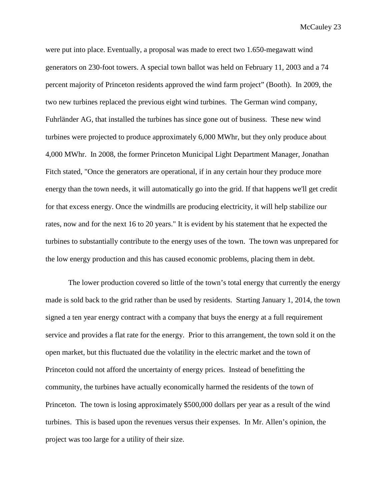were put into place. Eventually, a proposal was made to erect two 1.650-megawatt wind generators on 230-foot towers. A special town ballot was held on February 11, 2003 and a 74 percent majority of Princeton residents approved the wind farm project" (Booth). In 2009, the two new turbines replaced the previous eight wind turbines. The German wind company, Fuhrländer AG, that installed the turbines has since gone out of business. These new wind turbines were projected to produce approximately 6,000 MWhr, but they only produce about 4,000 MWhr. In 2008, the former Princeton Municipal Light Department Manager, Jonathan Fitch stated, "Once the generators are operational, if in any certain hour they produce more energy than the town needs, it will automatically go into the grid. If that happens we'll get credit for that excess energy. Once the windmills are producing electricity, it will help stabilize our rates, now and for the next 16 to 20 years." It is evident by his statement that he expected the turbines to substantially contribute to the energy uses of the town. The town was unprepared for the low energy production and this has caused economic problems, placing them in debt.

The lower production covered so little of the town's total energy that currently the energy made is sold back to the grid rather than be used by residents. Starting January 1, 2014, the town signed a ten year energy contract with a company that buys the energy at a full requirement service and provides a flat rate for the energy. Prior to this arrangement, the town sold it on the open market, but this fluctuated due the volatility in the electric market and the town of Princeton could not afford the uncertainty of energy prices. Instead of benefitting the community, the turbines have actually economically harmed the residents of the town of Princeton. The town is losing approximately \$500,000 dollars per year as a result of the wind turbines. This is based upon the revenues versus their expenses. In Mr. Allen's opinion, the project was too large for a utility of their size.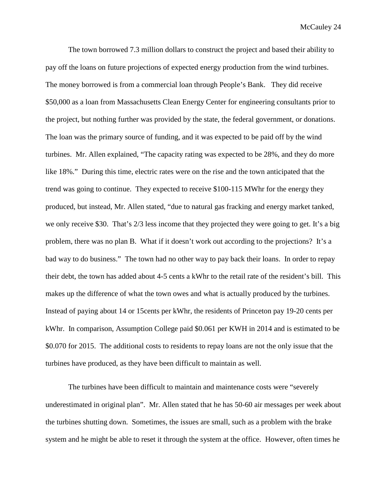The town borrowed 7.3 million dollars to construct the project and based their ability to pay off the loans on future projections of expected energy production from the wind turbines. The money borrowed is from a commercial loan through People's Bank. They did receive \$50,000 as a loan from Massachusetts Clean Energy Center for engineering consultants prior to the project, but nothing further was provided by the state, the federal government, or donations. The loan was the primary source of funding, and it was expected to be paid off by the wind turbines. Mr. Allen explained, "The capacity rating was expected to be 28%, and they do more like 18%." During this time, electric rates were on the rise and the town anticipated that the trend was going to continue. They expected to receive \$100-115 MWhr for the energy they produced, but instead, Mr. Allen stated, "due to natural gas fracking and energy market tanked, we only receive \$30. That's 2/3 less income that they projected they were going to get. It's a big problem, there was no plan B. What if it doesn't work out according to the projections? It's a bad way to do business." The town had no other way to pay back their loans. In order to repay their debt, the town has added about 4-5 cents a kWhr to the retail rate of the resident's bill. This makes up the difference of what the town owes and what is actually produced by the turbines. Instead of paying about 14 or 15cents per kWhr, the residents of Princeton pay 19-20 cents per kWhr. In comparison, Assumption College paid \$0.061 per KWH in 2014 and is estimated to be \$0.070 for 2015. The additional costs to residents to repay loans are not the only issue that the turbines have produced, as they have been difficult to maintain as well.

The turbines have been difficult to maintain and maintenance costs were "severely underestimated in original plan". Mr. Allen stated that he has 50-60 air messages per week about the turbines shutting down. Sometimes, the issues are small, such as a problem with the brake system and he might be able to reset it through the system at the office. However, often times he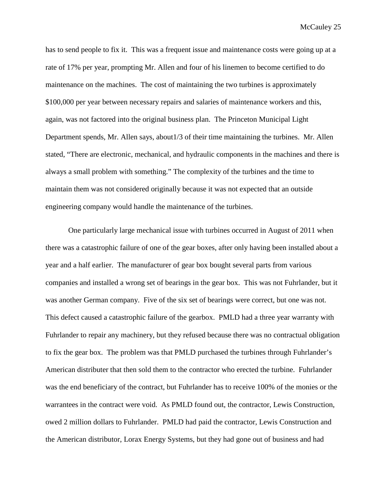has to send people to fix it. This was a frequent issue and maintenance costs were going up at a rate of 17% per year, prompting Mr. Allen and four of his linemen to become certified to do maintenance on the machines. The cost of maintaining the two turbines is approximately \$100,000 per year between necessary repairs and salaries of maintenance workers and this, again, was not factored into the original business plan. The Princeton Municipal Light Department spends, Mr. Allen says, about1/3 of their time maintaining the turbines. Mr. Allen stated, "There are electronic, mechanical, and hydraulic components in the machines and there is always a small problem with something." The complexity of the turbines and the time to maintain them was not considered originally because it was not expected that an outside engineering company would handle the maintenance of the turbines.

One particularly large mechanical issue with turbines occurred in August of 2011 when there was a catastrophic failure of one of the gear boxes, after only having been installed about a year and a half earlier. The manufacturer of gear box bought several parts from various companies and installed a wrong set of bearings in the gear box. This was not Fuhrlander, but it was another German company. Five of the six set of bearings were correct, but one was not. This defect caused a catastrophic failure of the gearbox. PMLD had a three year warranty with Fuhrlander to repair any machinery, but they refused because there was no contractual obligation to fix the gear box. The problem was that PMLD purchased the turbines through Fuhrlander's American distributer that then sold them to the contractor who erected the turbine. Fuhrlander was the end beneficiary of the contract, but Fuhrlander has to receive 100% of the monies or the warrantees in the contract were void. As PMLD found out, the contractor, Lewis Construction, owed 2 million dollars to Fuhrlander. PMLD had paid the contractor, Lewis Construction and the American distributor, Lorax Energy Systems, but they had gone out of business and had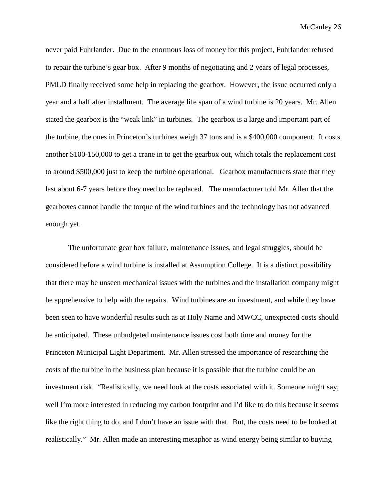never paid Fuhrlander. Due to the enormous loss of money for this project, Fuhrlander refused to repair the turbine's gear box. After 9 months of negotiating and 2 years of legal processes, PMLD finally received some help in replacing the gearbox. However, the issue occurred only a year and a half after installment. The average life span of a wind turbine is 20 years. Mr. Allen stated the gearbox is the "weak link" in turbines. The gearbox is a large and important part of the turbine, the ones in Princeton's turbines weigh 37 tons and is a \$400,000 component. It costs another \$100-150,000 to get a crane in to get the gearbox out, which totals the replacement cost to around \$500,000 just to keep the turbine operational. Gearbox manufacturers state that they last about 6-7 years before they need to be replaced. The manufacturer told Mr. Allen that the gearboxes cannot handle the torque of the wind turbines and the technology has not advanced enough yet.

The unfortunate gear box failure, maintenance issues, and legal struggles, should be considered before a wind turbine is installed at Assumption College. It is a distinct possibility that there may be unseen mechanical issues with the turbines and the installation company might be apprehensive to help with the repairs. Wind turbines are an investment, and while they have been seen to have wonderful results such as at Holy Name and MWCC, unexpected costs should be anticipated. These unbudgeted maintenance issues cost both time and money for the Princeton Municipal Light Department. Mr. Allen stressed the importance of researching the costs of the turbine in the business plan because it is possible that the turbine could be an investment risk. "Realistically, we need look at the costs associated with it. Someone might say, well I'm more interested in reducing my carbon footprint and I'd like to do this because it seems like the right thing to do, and I don't have an issue with that. But, the costs need to be looked at realistically." Mr. Allen made an interesting metaphor as wind energy being similar to buying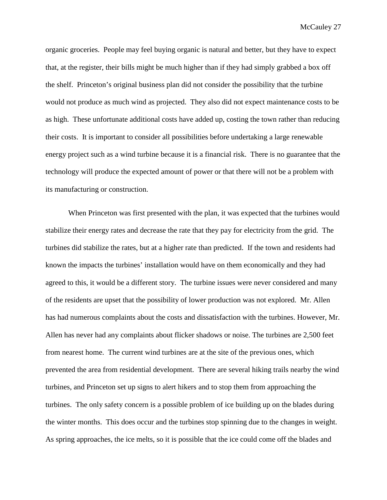organic groceries. People may feel buying organic is natural and better, but they have to expect that, at the register, their bills might be much higher than if they had simply grabbed a box off the shelf. Princeton's original business plan did not consider the possibility that the turbine would not produce as much wind as projected. They also did not expect maintenance costs to be as high. These unfortunate additional costs have added up, costing the town rather than reducing their costs. It is important to consider all possibilities before undertaking a large renewable energy project such as a wind turbine because it is a financial risk. There is no guarantee that the technology will produce the expected amount of power or that there will not be a problem with its manufacturing or construction.

When Princeton was first presented with the plan, it was expected that the turbines would stabilize their energy rates and decrease the rate that they pay for electricity from the grid. The turbines did stabilize the rates, but at a higher rate than predicted. If the town and residents had known the impacts the turbines' installation would have on them economically and they had agreed to this, it would be a different story. The turbine issues were never considered and many of the residents are upset that the possibility of lower production was not explored. Mr. Allen has had numerous complaints about the costs and dissatisfaction with the turbines. However, Mr. Allen has never had any complaints about flicker shadows or noise. The turbines are 2,500 feet from nearest home. The current wind turbines are at the site of the previous ones, which prevented the area from residential development. There are several hiking trails nearby the wind turbines, and Princeton set up signs to alert hikers and to stop them from approaching the turbines. The only safety concern is a possible problem of ice building up on the blades during the winter months. This does occur and the turbines stop spinning due to the changes in weight. As spring approaches, the ice melts, so it is possible that the ice could come off the blades and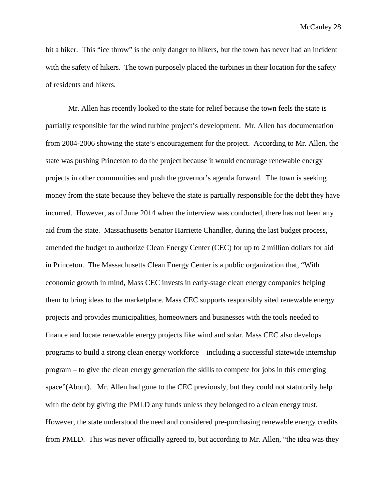hit a hiker. This "ice throw" is the only danger to hikers, but the town has never had an incident with the safety of hikers. The town purposely placed the turbines in their location for the safety of residents and hikers.

Mr. Allen has recently looked to the state for relief because the town feels the state is partially responsible for the wind turbine project's development. Mr. Allen has documentation from 2004-2006 showing the state's encouragement for the project. According to Mr. Allen, the state was pushing Princeton to do the project because it would encourage renewable energy projects in other communities and push the governor's agenda forward. The town is seeking money from the state because they believe the state is partially responsible for the debt they have incurred. However, as of June 2014 when the interview was conducted, there has not been any aid from the state. Massachusetts Senator Harriette Chandler, during the last budget process, amended the budget to authorize Clean Energy Center (CEC) for up to 2 million dollars for aid in Princeton. The Massachusetts Clean Energy Center is a public organization that, "With economic growth in mind, Mass CEC invests in early-stage clean energy companies helping them to bring ideas to the marketplace. Mass CEC supports responsibly sited renewable energy projects and provides municipalities, homeowners and businesses with the tools needed to finance and locate renewable energy projects like wind and solar. Mass CEC also develops programs to build a strong clean energy workforce – including a successful statewide internship program – to give the clean energy generation the skills to compete for jobs in this emerging space"(About). Mr. Allen had gone to the CEC previously, but they could not statutorily help with the debt by giving the PMLD any funds unless they belonged to a clean energy trust. However, the state understood the need and considered pre-purchasing renewable energy credits from PMLD. This was never officially agreed to, but according to Mr. Allen, "the idea was they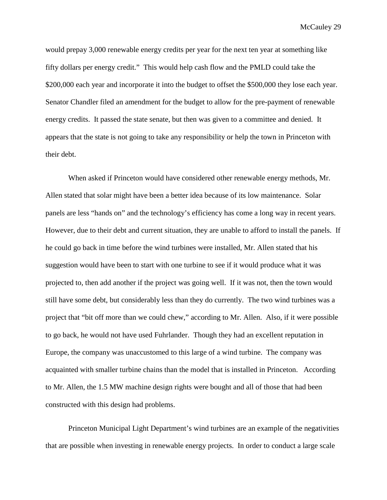would prepay 3,000 renewable energy credits per year for the next ten year at something like fifty dollars per energy credit." This would help cash flow and the PMLD could take the \$200,000 each year and incorporate it into the budget to offset the \$500,000 they lose each year. Senator Chandler filed an amendment for the budget to allow for the pre-payment of renewable energy credits. It passed the state senate, but then was given to a committee and denied. It appears that the state is not going to take any responsibility or help the town in Princeton with their debt.

When asked if Princeton would have considered other renewable energy methods, Mr. Allen stated that solar might have been a better idea because of its low maintenance. Solar panels are less "hands on" and the technology's efficiency has come a long way in recent years. However, due to their debt and current situation, they are unable to afford to install the panels. If he could go back in time before the wind turbines were installed, Mr. Allen stated that his suggestion would have been to start with one turbine to see if it would produce what it was projected to, then add another if the project was going well. If it was not, then the town would still have some debt, but considerably less than they do currently. The two wind turbines was a project that "bit off more than we could chew," according to Mr. Allen. Also, if it were possible to go back, he would not have used Fuhrlander. Though they had an excellent reputation in Europe, the company was unaccustomed to this large of a wind turbine. The company was acquainted with smaller turbine chains than the model that is installed in Princeton. According to Mr. Allen, the 1.5 MW machine design rights were bought and all of those that had been constructed with this design had problems.

Princeton Municipal Light Department's wind turbines are an example of the negativities that are possible when investing in renewable energy projects. In order to conduct a large scale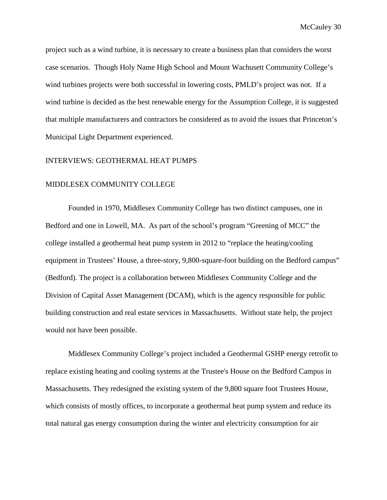project such as a wind turbine, it is necessary to create a business plan that considers the worst case scenarios. Though Holy Name High School and Mount Wachusett Community College's wind turbines projects were both successful in lowering costs, PMLD's project was not. If a wind turbine is decided as the best renewable energy for the Assumption College, it is suggested that multiple manufacturers and contractors be considered as to avoid the issues that Princeton's Municipal Light Department experienced.

#### INTERVIEWS: GEOTHERMAL HEAT PUMPS

#### MIDDLESEX COMMUNITY COLLEGE

Founded in 1970, Middlesex Community College has two distinct campuses, one in Bedford and one in Lowell, MA. As part of the school's program "Greening of MCC" the college installed a geothermal heat pump system in 2012 to "replace the heating/cooling equipment in Trustees' House, a three-story, 9,800-square-foot building on the Bedford campus" (Bedford). The project is a collaboration between Middlesex Community College and the Division of Capital Asset Management (DCAM), which is the agency responsible for public building construction and real estate services in Massachusetts. Without state help, the project would not have been possible.

Middlesex Community College's project included a Geothermal GSHP energy retrofit to replace existing heating and cooling systems at the Trustee's House on the Bedford Campus in Massachusetts. They redesigned the existing system of the 9,800 square foot Trustees House, which consists of mostly offices, to incorporate a geothermal heat pump system and reduce its total natural gas energy consumption during the winter and electricity consumption for air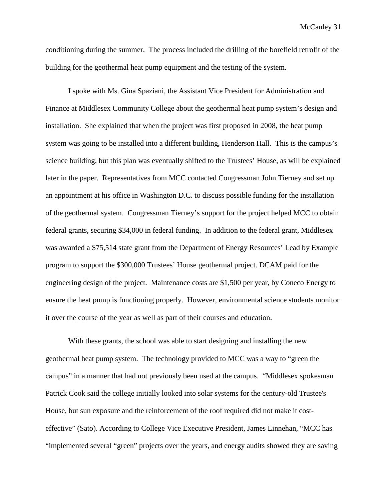conditioning during the summer. The process included the drilling of the borefield retrofit of the building for the geothermal heat pump equipment and the testing of the system.

I spoke with Ms. Gina Spaziani, the Assistant Vice President for Administration and Finance at Middlesex Community College about the geothermal heat pump system's design and installation. She explained that when the project was first proposed in 2008, the heat pump system was going to be installed into a different building, Henderson Hall. This is the campus's science building, but this plan was eventually shifted to the Trustees' House, as will be explained later in the paper. Representatives from MCC contacted Congressman John Tierney and set up an appointment at his office in Washington D.C. to discuss possible funding for the installation of the geothermal system. Congressman Tierney's support for the project helped MCC to obtain federal grants, securing \$34,000 in federal funding. In addition to the federal grant, Middlesex was awarded a \$75,514 state grant from the Department of Energy Resources' Lead by Example program to support the \$300,000 Trustees' House geothermal project. DCAM paid for the engineering design of the project. Maintenance costs are \$1,500 per year, by Coneco Energy to ensure the heat pump is functioning properly. However, environmental science students monitor it over the course of the year as well as part of their courses and education.

With these grants, the school was able to start designing and installing the new geothermal heat pump system. The technology provided to MCC was a way to "green the campus" in a manner that had not previously been used at the campus. "Middlesex spokesman Patrick Cook said the college initially looked into solar systems for the century-old Trustee's House, but sun exposure and the reinforcement of the roof required did not make it costeffective" (Sato). According to College Vice Executive President, James Linnehan, "MCC has "implemented several "green" projects over the years, and energy audits showed they are saving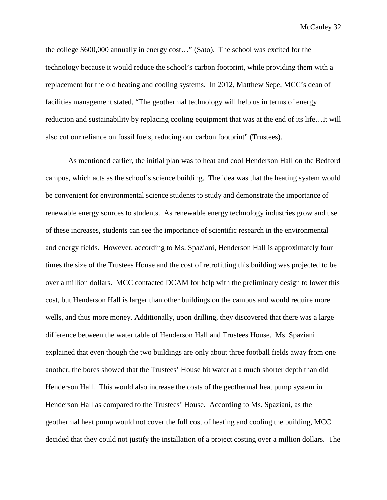the college \$600,000 annually in energy cost…" (Sato). The school was excited for the technology because it would reduce the school's carbon footprint, while providing them with a replacement for the old heating and cooling systems. In 2012, Matthew Sepe, MCC's dean of facilities management stated, "The geothermal technology will help us in terms of energy reduction and sustainability by replacing cooling equipment that was at the end of its life…It will also cut our reliance on fossil fuels, reducing our carbon footprint" (Trustees).

As mentioned earlier, the initial plan was to heat and cool Henderson Hall on the Bedford campus, which acts as the school's science building. The idea was that the heating system would be convenient for environmental science students to study and demonstrate the importance of renewable energy sources to students. As renewable energy technology industries grow and use of these increases, students can see the importance of scientific research in the environmental and energy fields. However, according to Ms. Spaziani, Henderson Hall is approximately four times the size of the Trustees House and the cost of retrofitting this building was projected to be over a million dollars. MCC contacted DCAM for help with the preliminary design to lower this cost, but Henderson Hall is larger than other buildings on the campus and would require more wells, and thus more money. Additionally, upon drilling, they discovered that there was a large difference between the water table of Henderson Hall and Trustees House. Ms. Spaziani explained that even though the two buildings are only about three football fields away from one another, the bores showed that the Trustees' House hit water at a much shorter depth than did Henderson Hall. This would also increase the costs of the geothermal heat pump system in Henderson Hall as compared to the Trustees' House. According to Ms. Spaziani, as the geothermal heat pump would not cover the full cost of heating and cooling the building, MCC decided that they could not justify the installation of a project costing over a million dollars. The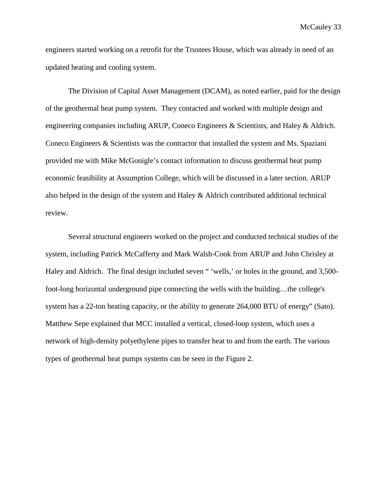engineers started working on a retrofit for the Trustees House, which was already in need of an updated heating and cooling system.

The Division of Capital Asset Management (DCAM), as noted earlier, paid for the design of the geothermal heat pump system. They contacted and worked with multiple design and engineering companies including ARUP, Coneco Engineers & Scientists, and Haley & Aldrich. Coneco Engineers & Scientists was the contractor that installed the system and Ms. Spaziani provided me with Mike McGonigle's contact information to discuss geothermal heat pump economic feasibility at Assumption College, which will be discussed in a later section. ARUP also helped in the design of the system and Haley & Aldrich contributed additional technical review.

Several structural engineers worked on the project and conducted technical studies of the system, including Patrick McCafferty and Mark Walsh-Cook from ARUP and John Chrisley at Haley and Aldrich. The final design included seven " 'wells,' or holes in the ground, and 3,500 foot-long horizontal underground pipe connecting the wells with the building…the college's system has a 22-ton heating capacity, or the ability to generate 264,000 BTU of energy" (Sato). Matthew Sepe explained that MCC installed a vertical, closed-loop system, which uses a network of high-density polyethylene pipes to transfer heat to and from the earth. The various types of geothermal heat pumps systems can be seen in the Figure 2.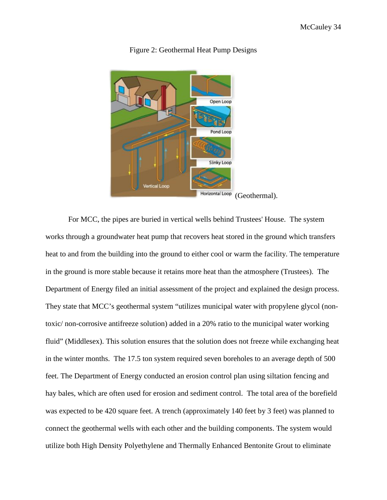

#### Figure 2: Geothermal Heat Pump Designs

For MCC, the pipes are buried in vertical wells behind Trustees' House. The system works through a groundwater heat pump that recovers heat stored in the ground which transfers heat to and from the building into the ground to either cool or warm the facility. The temperature in the ground is more stable because it retains more heat than the atmosphere (Trustees). The Department of Energy filed an initial assessment of the project and explained the design process. They state that MCC's geothermal system "utilizes municipal water with propylene glycol (nontoxic/ non-corrosive antifreeze solution) added in a 20% ratio to the municipal water working fluid" (Middlesex). This solution ensures that the solution does not freeze while exchanging heat in the winter months. The 17.5 ton system required seven boreholes to an average depth of 500 feet. The Department of Energy conducted an erosion control plan using siltation fencing and hay bales, which are often used for erosion and sediment control. The total area of the borefield was expected to be 420 square feet. A trench (approximately 140 feet by 3 feet) was planned to connect the geothermal wells with each other and the building components. The system would utilize both High Density Polyethylene and Thermally Enhanced Bentonite Grout to eliminate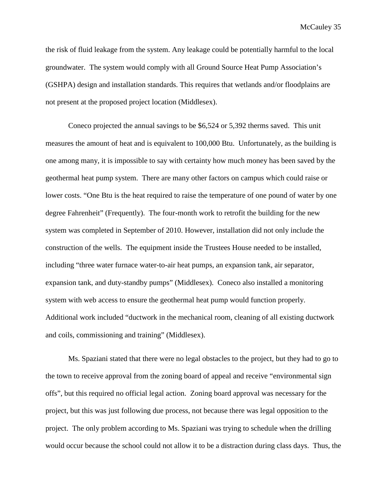the risk of fluid leakage from the system. Any leakage could be potentially harmful to the local groundwater. The system would comply with all Ground Source Heat Pump Association's (GSHPA) design and installation standards. This requires that wetlands and/or floodplains are not present at the proposed project location (Middlesex).

Coneco projected the annual savings to be \$6,524 or 5,392 therms saved. This unit measures the amount of heat and is equivalent to 100,000 Btu. Unfortunately, as the building is one among many, it is impossible to say with certainty how much money has been saved by the geothermal heat pump system. There are many other factors on campus which could raise or lower costs. "One Btu is the heat required to raise the temperature of one pound of water by one degree Fahrenheit" (Frequently). The four-month work to retrofit the building for the new system was completed in September of 2010. However, installation did not only include the construction of the wells. The equipment inside the Trustees House needed to be installed, including "three water furnace water-to-air heat pumps, an expansion tank, air separator, expansion tank, and duty-standby pumps" (Middlesex). Coneco also installed a monitoring system with web access to ensure the geothermal heat pump would function properly. Additional work included "ductwork in the mechanical room, cleaning of all existing ductwork and coils, commissioning and training" (Middlesex).

Ms. Spaziani stated that there were no legal obstacles to the project, but they had to go to the town to receive approval from the zoning board of appeal and receive "environmental sign offs", but this required no official legal action. Zoning board approval was necessary for the project, but this was just following due process, not because there was legal opposition to the project. The only problem according to Ms. Spaziani was trying to schedule when the drilling would occur because the school could not allow it to be a distraction during class days. Thus, the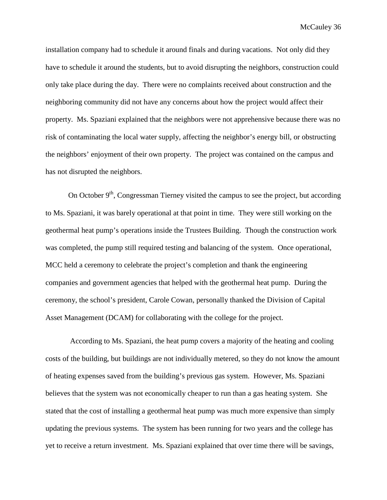installation company had to schedule it around finals and during vacations. Not only did they have to schedule it around the students, but to avoid disrupting the neighbors, construction could only take place during the day. There were no complaints received about construction and the neighboring community did not have any concerns about how the project would affect their property. Ms. Spaziani explained that the neighbors were not apprehensive because there was no risk of contaminating the local water supply, affecting the neighbor's energy bill, or obstructing the neighbors' enjoyment of their own property. The project was contained on the campus and has not disrupted the neighbors.

On October  $9<sup>th</sup>$ , Congressman Tierney visited the campus to see the project, but according to Ms. Spaziani, it was barely operational at that point in time. They were still working on the geothermal heat pump's operations inside the Trustees Building. Though the construction work was completed, the pump still required testing and balancing of the system. Once operational, MCC held a ceremony to celebrate the project's completion and thank the engineering companies and government agencies that helped with the geothermal heat pump. During the ceremony, the school's president, Carole Cowan, personally thanked the Division of Capital Asset Management (DCAM) for collaborating with the college for the project.

According to Ms. Spaziani, the heat pump covers a majority of the heating and cooling costs of the building, but buildings are not individually metered, so they do not know the amount of heating expenses saved from the building's previous gas system. However, Ms. Spaziani believes that the system was not economically cheaper to run than a gas heating system. She stated that the cost of installing a geothermal heat pump was much more expensive than simply updating the previous systems. The system has been running for two years and the college has yet to receive a return investment. Ms. Spaziani explained that over time there will be savings,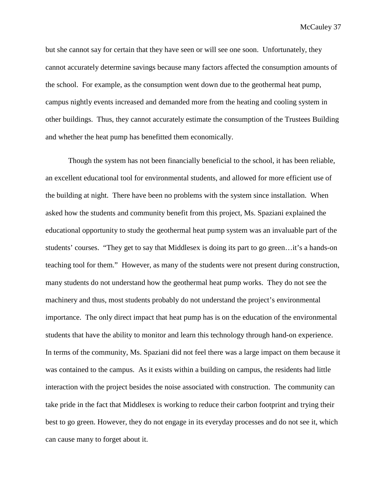but she cannot say for certain that they have seen or will see one soon. Unfortunately, they cannot accurately determine savings because many factors affected the consumption amounts of the school. For example, as the consumption went down due to the geothermal heat pump, campus nightly events increased and demanded more from the heating and cooling system in other buildings. Thus, they cannot accurately estimate the consumption of the Trustees Building and whether the heat pump has benefitted them economically.

Though the system has not been financially beneficial to the school, it has been reliable, an excellent educational tool for environmental students, and allowed for more efficient use of the building at night. There have been no problems with the system since installation. When asked how the students and community benefit from this project, Ms. Spaziani explained the educational opportunity to study the geothermal heat pump system was an invaluable part of the students' courses. "They get to say that Middlesex is doing its part to go green…it's a hands-on teaching tool for them." However, as many of the students were not present during construction, many students do not understand how the geothermal heat pump works. They do not see the machinery and thus, most students probably do not understand the project's environmental importance. The only direct impact that heat pump has is on the education of the environmental students that have the ability to monitor and learn this technology through hand-on experience. In terms of the community, Ms. Spaziani did not feel there was a large impact on them because it was contained to the campus. As it exists within a building on campus, the residents had little interaction with the project besides the noise associated with construction. The community can take pride in the fact that Middlesex is working to reduce their carbon footprint and trying their best to go green. However, they do not engage in its everyday processes and do not see it, which can cause many to forget about it.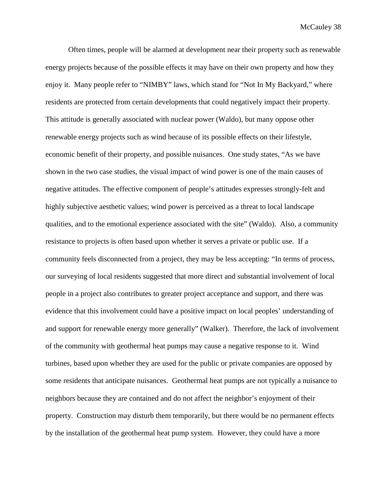Often times, people will be alarmed at development near their property such as renewable energy projects because of the possible effects it may have on their own property and how they enjoy it. Many people refer to "NIMBY" laws, which stand for "Not In My Backyard," where residents are protected from certain developments that could negatively impact their property. This attitude is generally associated with nuclear power (Waldo), but many oppose other renewable energy projects such as wind because of its possible effects on their lifestyle, economic benefit of their property, and possible nuisances. One study states, "As we have shown in the two case studies, the visual impact of wind power is one of the main causes of negative attitudes. The effective component of people's attitudes expresses strongly-felt and highly subjective aesthetic values; wind power is perceived as a threat to local landscape qualities, and to the emotional experience associated with the site" (Waldo). Also, a community resistance to projects is often based upon whether it serves a private or public use. If a community feels disconnected from a project, they may be less accepting: "In terms of process, our surveying of local residents suggested that more direct and substantial involvement of local people in a project also contributes to greater project acceptance and support, and there was evidence that this involvement could have a positive impact on local peoples' understanding of and support for renewable energy more generally" (Walker). Therefore, the lack of involvement of the community with geothermal heat pumps may cause a negative response to it. Wind turbines, based upon whether they are used for the public or private companies are opposed by some residents that anticipate nuisances. Geothermal heat pumps are not typically a nuisance to neighbors because they are contained and do not affect the neighbor's enjoyment of their property. Construction may disturb them temporarily, but there would be no permanent effects by the installation of the geothermal heat pump system. However, they could have a more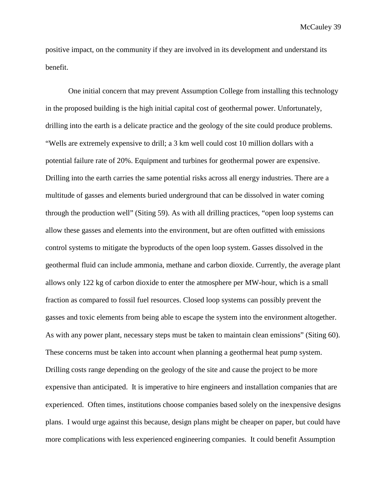positive impact, on the community if they are involved in its development and understand its benefit.

One initial concern that may prevent Assumption College from installing this technology in the proposed building is the high initial capital cost of geothermal power. Unfortunately, drilling into the earth is a delicate practice and the geology of the site could produce problems. "Wells are extremely expensive to drill; a 3 km well could cost 10 million dollars with a potential failure rate of 20%. Equipment and turbines for geothermal power are expensive. Drilling into the earth carries the same potential risks across all energy industries. There are a multitude of gasses and elements buried underground that can be dissolved in water coming through the production well" (Siting 59). As with all drilling practices, "open loop systems can allow these gasses and elements into the environment, but are often outfitted with emissions control systems to mitigate the byproducts of the open loop system. Gasses dissolved in the geothermal fluid can include ammonia, methane and carbon dioxide. Currently, the average plant allows only 122 kg of carbon dioxide to enter the atmosphere per MW-hour, which is a small fraction as compared to fossil fuel resources. Closed loop systems can possibly prevent the gasses and toxic elements from being able to escape the system into the environment altogether. As with any power plant, necessary steps must be taken to maintain clean emissions" (Siting 60). These concerns must be taken into account when planning a geothermal heat pump system. Drilling costs range depending on the geology of the site and cause the project to be more expensive than anticipated. It is imperative to hire engineers and installation companies that are experienced. Often times, institutions choose companies based solely on the inexpensive designs plans. I would urge against this because, design plans might be cheaper on paper, but could have more complications with less experienced engineering companies. It could benefit Assumption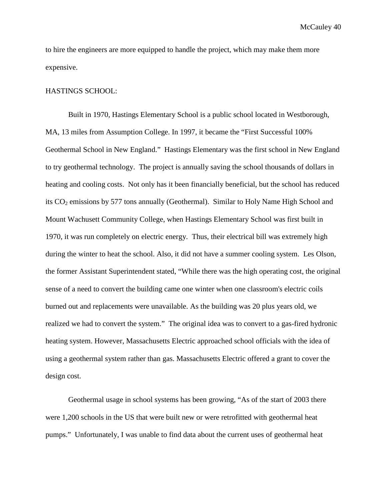to hire the engineers are more equipped to handle the project, which may make them more expensive.

#### HASTINGS SCHOOL:

Built in 1970, Hastings Elementary School is a public school located in Westborough, MA, 13 miles from Assumption College. In 1997, it became the "First Successful 100% Geothermal School in New England." Hastings Elementary was the first school in New England to try geothermal technology. The project is annually saving the school thousands of dollars in heating and cooling costs. Not only has it been financially beneficial, but the school has reduced its  $CO<sub>2</sub>$  emissions by 577 tons annually (Geothermal). Similar to Holy Name High School and Mount Wachusett Community College, when Hastings Elementary School was first built in 1970, it was run completely on electric energy. Thus, their electrical bill was extremely high during the winter to heat the school. Also, it did not have a summer cooling system. Les Olson, the former Assistant Superintendent stated, "While there was the high operating cost, the original sense of a need to convert the building came one winter when one classroom's electric coils burned out and replacements were unavailable. As the building was 20 plus years old, we realized we had to convert the system." The original idea was to convert to a gas-fired hydronic heating system. However, Massachusetts Electric approached school officials with the idea of using a geothermal system rather than gas. Massachusetts Electric offered a grant to cover the design cost.

Geothermal usage in school systems has been growing, "As of the start of 2003 there were 1,200 schools in the US that were built new or were retrofitted with geothermal heat pumps." Unfortunately, I was unable to find data about the current uses of geothermal heat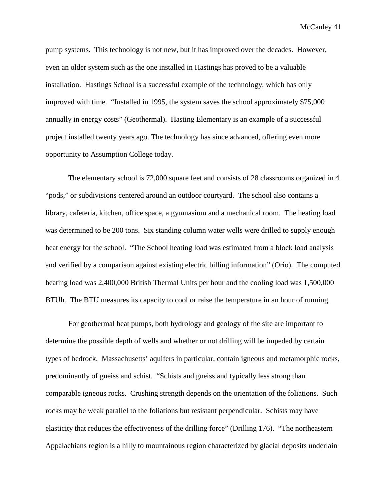pump systems. This technology is not new, but it has improved over the decades. However, even an older system such as the one installed in Hastings has proved to be a valuable installation. Hastings School is a successful example of the technology, which has only improved with time. "Installed in 1995, the system saves the school approximately \$75,000 annually in energy costs" (Geothermal). Hasting Elementary is an example of a successful project installed twenty years ago. The technology has since advanced, offering even more opportunity to Assumption College today.

The elementary school is 72,000 square feet and consists of 28 classrooms organized in 4 "pods," or subdivisions centered around an outdoor courtyard. The school also contains a library, cafeteria, kitchen, office space, a gymnasium and a mechanical room. The heating load was determined to be 200 tons. Six standing column water wells were drilled to supply enough heat energy for the school. "The School heating load was estimated from a block load analysis and verified by a comparison against existing electric billing information" (Orio). The computed heating load was 2,400,000 British Thermal Units per hour and the cooling load was 1,500,000 BTUh. The BTU measures its capacity to cool or raise the temperature in an hour of running.

For geothermal heat pumps, both hydrology and geology of the site are important to determine the possible depth of wells and whether or not drilling will be impeded by certain types of bedrock. Massachusetts' aquifers in particular, contain igneous and metamorphic rocks, predominantly of gneiss and schist. "Schists and gneiss and typically less strong than comparable igneous rocks. Crushing strength depends on the orientation of the foliations. Such rocks may be weak parallel to the foliations but resistant perpendicular. Schists may have elasticity that reduces the effectiveness of the drilling force" (Drilling 176). "The northeastern Appalachians region is a hilly to mountainous region characterized by glacial deposits underlain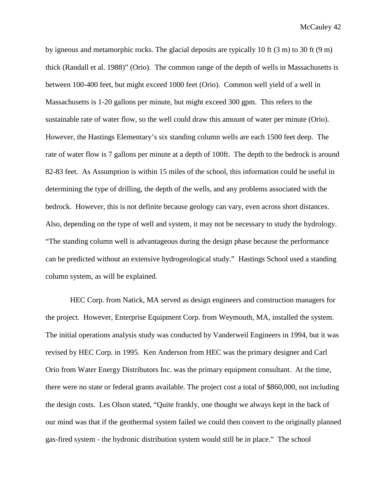by igneous and metamorphic rocks. The glacial deposits are typically 10 ft (3 m) to 30 ft (9 m) thick (Randall et al. 1988)" (Orio). The common range of the depth of wells in Massachusetts is between 100-400 feet, but might exceed 1000 feet (Orio). Common well yield of a well in Massachusetts is 1-20 gallons per minute, but might exceed 300 gpm. This refers to the sustainable rate of water flow, so the well could draw this amount of water per minute (Orio). However, the Hastings Elementary's six standing column wells are each 1500 feet deep. The rate of water flow is 7 gallons per minute at a depth of 100ft. The depth to the bedrock is around 82-83 feet. As Assumption is within 15 miles of the school, this information could be useful in determining the type of drilling, the depth of the wells, and any problems associated with the bedrock. However, this is not definite because geology can vary, even across short distances. Also, depending on the type of well and system, it may not be necessary to study the hydrology. "The standing column well is advantageous during the design phase because the performance can be predicted without an extensive hydrogeological study." Hastings School used a standing column system, as will be explained.

HEC Corp. from Natick, MA served as design engineers and construction managers for the project. However, Enterprise Equipment Corp. from Weymouth, MA, installed the system. The initial operations analysis study was conducted by Vanderweil Engineers in 1994, but it was revised by HEC Corp. in 1995. Ken Anderson from HEC was the primary designer and Carl Orio from Water Energy Distributors Inc. was the primary equipment consultant. At the time, there were no state or federal grants available. The project cost a total of \$860,000, not including the design costs. Les Olson stated, "Quite frankly, one thought we always kept in the back of our mind was that if the geothermal system failed we could then convert to the originally planned gas-fired system - the hydronic distribution system would still be in place." The school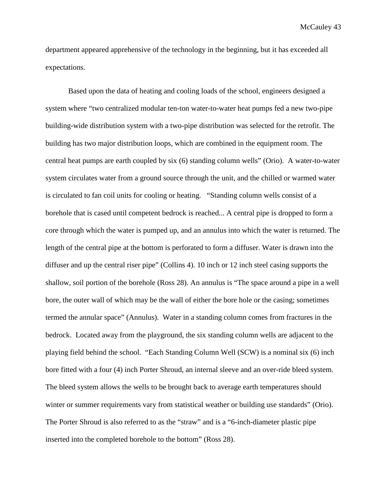department appeared apprehensive of the technology in the beginning, but it has exceeded all expectations.

Based upon the data of heating and cooling loads of the school, engineers designed a system where "two centralized modular ten-ton water-to-water heat pumps fed a new two-pipe building-wide distribution system with a two-pipe distribution was selected for the retrofit. The building has two major distribution loops, which are combined in the equipment room. The central heat pumps are earth coupled by six (6) standing column wells" (Orio). A water-to-water system circulates water from a ground source through the unit, and the chilled or warmed water is circulated to fan coil units for cooling or heating. "Standing column wells consist of a borehole that is cased until competent bedrock is reached... A central pipe is dropped to form a core through which the water is pumped up, and an annulus into which the water is returned. The length of the central pipe at the bottom is perforated to form a diffuser. Water is drawn into the diffuser and up the central riser pipe" (Collins 4). 10 inch or 12 inch steel casing supports the shallow, soil portion of the borehole (Ross 28). An annulus is "The space around a pipe in a well bore, the outer wall of which may be the wall of either the bore hole or the casing; sometimes termed the annular space" (Annulus). Water in a standing column comes from fractures in the bedrock. Located away from the playground, the six standing column wells are adjacent to the playing field behind the school. "Each Standing Column Well (SCW) is a nominal six (6) inch bore fitted with a four (4) inch Porter Shroud, an internal sleeve and an over-ride bleed system. The bleed system allows the wells to be brought back to average earth temperatures should winter or summer requirements vary from statistical weather or building use standards" (Orio). The Porter Shroud is also referred to as the "straw" and is a "6-inch-diameter plastic pipe inserted into the completed borehole to the bottom" (Ross 28).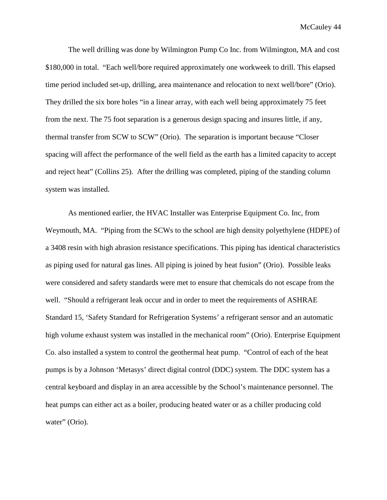The well drilling was done by Wilmington Pump Co Inc. from Wilmington, MA and cost \$180,000 in total. "Each well/bore required approximately one workweek to drill. This elapsed time period included set-up, drilling, area maintenance and relocation to next well/bore" (Orio). They drilled the six bore holes "in a linear array, with each well being approximately 75 feet from the next. The 75 foot separation is a generous design spacing and insures little, if any, thermal transfer from SCW to SCW" (Orio). The separation is important because "Closer spacing will affect the performance of the well field as the earth has a limited capacity to accept and reject heat" (Collins 25). After the drilling was completed, piping of the standing column system was installed.

As mentioned earlier, the HVAC Installer was Enterprise Equipment Co. Inc, from Weymouth, MA. "Piping from the SCWs to the school are high density polyethylene (HDPE) of a 3408 resin with high abrasion resistance specifications. This piping has identical characteristics as piping used for natural gas lines. All piping is joined by heat fusion" (Orio). Possible leaks were considered and safety standards were met to ensure that chemicals do not escape from the well. "Should a refrigerant leak occur and in order to meet the requirements of ASHRAE Standard 15, 'Safety Standard for Refrigeration Systems' a refrigerant sensor and an automatic high volume exhaust system was installed in the mechanical room" (Orio). Enterprise Equipment Co. also installed a system to control the geothermal heat pump. "Control of each of the heat pumps is by a Johnson 'Metasys' direct digital control (DDC) system. The DDC system has a central keyboard and display in an area accessible by the School's maintenance personnel. The heat pumps can either act as a boiler, producing heated water or as a chiller producing cold water" (Orio).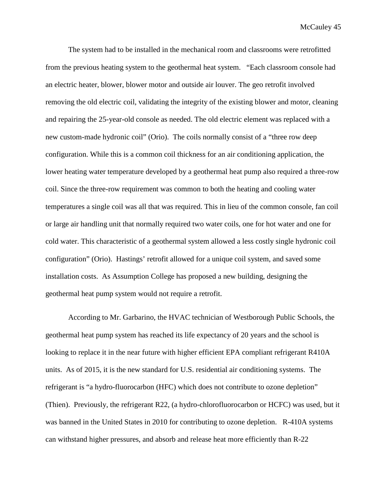The system had to be installed in the mechanical room and classrooms were retrofitted from the previous heating system to the geothermal heat system. "Each classroom console had an electric heater, blower, blower motor and outside air louver. The geo retrofit involved removing the old electric coil, validating the integrity of the existing blower and motor, cleaning and repairing the 25-year-old console as needed. The old electric element was replaced with a new custom-made hydronic coil" (Orio). The coils normally consist of a "three row deep configuration. While this is a common coil thickness for an air conditioning application, the lower heating water temperature developed by a geothermal heat pump also required a three-row coil. Since the three-row requirement was common to both the heating and cooling water temperatures a single coil was all that was required. This in lieu of the common console, fan coil or large air handling unit that normally required two water coils, one for hot water and one for cold water. This characteristic of a geothermal system allowed a less costly single hydronic coil configuration" (Orio). Hastings' retrofit allowed for a unique coil system, and saved some installation costs. As Assumption College has proposed a new building, designing the geothermal heat pump system would not require a retrofit.

According to Mr. Garbarino, the HVAC technician of Westborough Public Schools, the geothermal heat pump system has reached its life expectancy of 20 years and the school is looking to replace it in the near future with higher efficient EPA compliant refrigerant R410A units. As of 2015, it is the new standard for U.S. residential air conditioning systems. The refrigerant is "a hydro-fluorocarbon (HFC) which does not contribute to ozone depletion" (Thien). Previously, the refrigerant R22, (a hydro-chlorofluorocarbon or HCFC) was used, but it was banned in the United States in 2010 for contributing to ozone depletion. R-410A systems can withstand higher pressures, and absorb and release heat more efficiently than R-22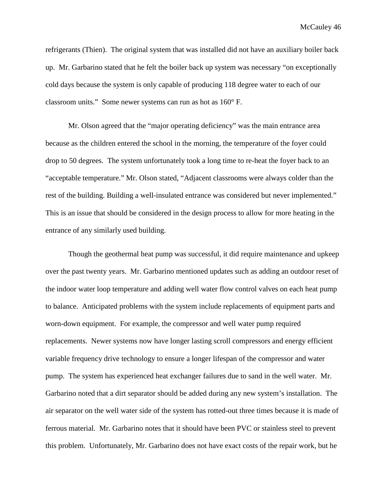refrigerants (Thien). The original system that was installed did not have an auxiliary boiler back up. Mr. Garbarino stated that he felt the boiler back up system was necessary "on exceptionally cold days because the system is only capable of producing 118 degree water to each of our classroom units." Some newer systems can run as hot as 160° F.

Mr. Olson agreed that the "major operating deficiency" was the main entrance area because as the children entered the school in the morning, the temperature of the foyer could drop to 50 degrees. The system unfortunately took a long time to re-heat the foyer back to an "acceptable temperature." Mr. Olson stated, "Adjacent classrooms were always colder than the rest of the building. Building a well-insulated entrance was considered but never implemented." This is an issue that should be considered in the design process to allow for more heating in the entrance of any similarly used building.

Though the geothermal heat pump was successful, it did require maintenance and upkeep over the past twenty years. Mr. Garbarino mentioned updates such as adding an outdoor reset of the indoor water loop temperature and adding well water flow control valves on each heat pump to balance. Anticipated problems with the system include replacements of equipment parts and worn-down equipment. For example, the compressor and well water pump required replacements. Newer systems now have longer lasting scroll compressors and energy efficient variable frequency drive technology to ensure a longer lifespan of the compressor and water pump. The system has experienced heat exchanger failures due to sand in the well water. Mr. Garbarino noted that a dirt separator should be added during any new system's installation. The air separator on the well water side of the system has rotted-out three times because it is made of ferrous material. Mr. Garbarino notes that it should have been PVC or stainless steel to prevent this problem. Unfortunately, Mr. Garbarino does not have exact costs of the repair work, but he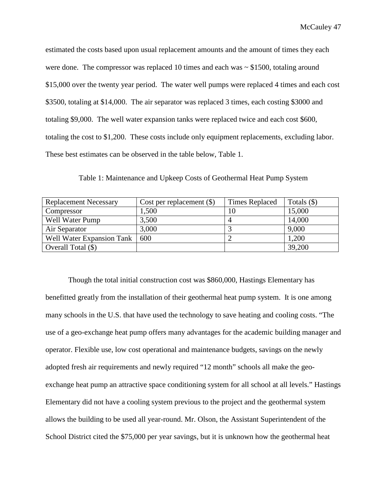estimated the costs based upon usual replacement amounts and the amount of times they each were done. The compressor was replaced 10 times and each was  $\sim$  \$1500, totaling around \$15,000 over the twenty year period. The water well pumps were replaced 4 times and each cost \$3500, totaling at \$14,000. The air separator was replaced 3 times, each costing \$3000 and totaling \$9,000. The well water expansion tanks were replaced twice and each cost \$600, totaling the cost to \$1,200. These costs include only equipment replacements, excluding labor. These best estimates can be observed in the table below, Table 1.

| <b>Replacement Necessary</b> | Cost per replacement $(\$)$ | <b>Times Replaced</b> | Totals $(\$)$ |
|------------------------------|-----------------------------|-----------------------|---------------|
| Compressor                   | ,500                        | 10                    | 15,000        |
| Well Water Pump              | 3,500                       |                       | 14,000        |
| Air Separator                | 3,000                       |                       | 9,000         |
| Well Water Expansion Tank    | 600                         |                       | 1,200         |
| Overall Total $(\$)$         |                             |                       | 39,200        |

Table 1: Maintenance and Upkeep Costs of Geothermal Heat Pump System

Though the total initial construction cost was \$860,000, Hastings Elementary has benefitted greatly from the installation of their geothermal heat pump system. It is one among many schools in the U.S. that have used the technology to save heating and cooling costs. "The use of a geo-exchange heat pump offers many advantages for the academic building manager and operator. Flexible use, low cost operational and maintenance budgets, savings on the newly adopted fresh air requirements and newly required "12 month" schools all make the geoexchange heat pump an attractive space conditioning system for all school at all levels." Hastings Elementary did not have a cooling system previous to the project and the geothermal system allows the building to be used all year-round. Mr. Olson, the Assistant Superintendent of the School District cited the \$75,000 per year savings, but it is unknown how the geothermal heat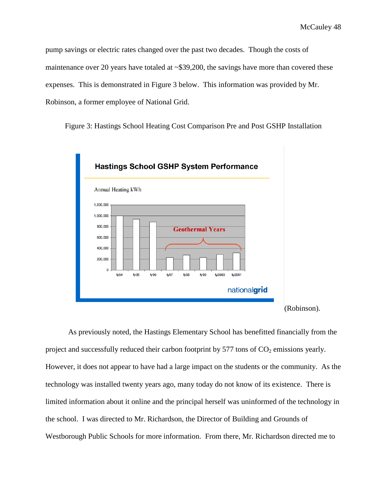pump savings or electric rates changed over the past two decades. Though the costs of maintenance over 20 years have totaled at ~\$39,200, the savings have more than covered these expenses. This is demonstrated in Figure 3 below. This information was provided by Mr. Robinson, a former employee of National Grid.

Figure 3: Hastings School Heating Cost Comparison Pre and Post GSHP Installation



As previously noted, the Hastings Elementary School has benefitted financially from the project and successfully reduced their carbon footprint by 577 tons of  $CO<sub>2</sub>$  emissions yearly. However, it does not appear to have had a large impact on the students or the community. As the technology was installed twenty years ago, many today do not know of its existence. There is limited information about it online and the principal herself was uninformed of the technology in the school. I was directed to Mr. Richardson, the Director of Building and Grounds of Westborough Public Schools for more information. From there, Mr. Richardson directed me to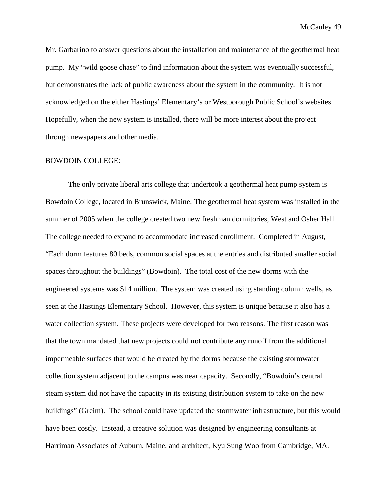Mr. Garbarino to answer questions about the installation and maintenance of the geothermal heat pump. My "wild goose chase" to find information about the system was eventually successful, but demonstrates the lack of public awareness about the system in the community. It is not acknowledged on the either Hastings' Elementary's or Westborough Public School's websites. Hopefully, when the new system is installed, there will be more interest about the project through newspapers and other media.

## BOWDOIN COLLEGE:

The only private liberal arts college that undertook a geothermal heat pump system is Bowdoin College, located in Brunswick, Maine. The geothermal heat system was installed in the summer of 2005 when the college created two new freshman dormitories, West and Osher Hall. The college needed to expand to accommodate increased enrollment. Completed in August, "Each dorm features 80 beds, common social spaces at the entries and distributed smaller social spaces throughout the buildings" (Bowdoin). The total cost of the new dorms with the engineered systems was \$14 million. The system was created using standing column wells, as seen at the Hastings Elementary School. However, this system is unique because it also has a water collection system. These projects were developed for two reasons. The first reason was that the town mandated that new projects could not contribute any runoff from the additional impermeable surfaces that would be created by the dorms because the existing stormwater collection system adjacent to the campus was near capacity. Secondly, "Bowdoin's central steam system did not have the capacity in its existing distribution system to take on the new buildings" (Greim). The school could have updated the stormwater infrastructure, but this would have been costly. Instead, a creative solution was designed by engineering consultants at Harriman Associates of Auburn, Maine, and architect, Kyu Sung Woo from Cambridge, MA.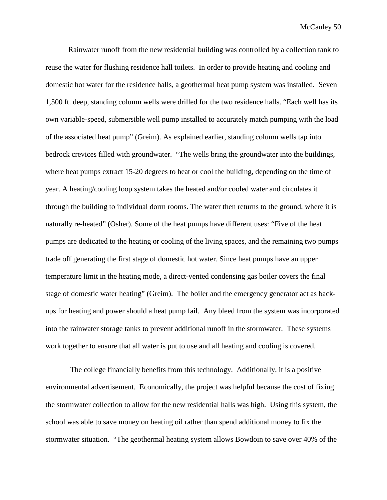Rainwater runoff from the new residential building was controlled by a collection tank to reuse the water for flushing residence hall toilets. In order to provide heating and cooling and domestic hot water for the residence halls, a geothermal heat pump system was installed. Seven 1,500 ft. deep, standing column wells were drilled for the two residence halls. "Each well has its own variable-speed, submersible well pump installed to accurately match pumping with the load of the associated heat pump" (Greim). As explained earlier, standing column wells tap into bedrock crevices filled with groundwater. "The wells bring the groundwater into the buildings, where heat pumps extract 15-20 degrees to heat or cool the building, depending on the time of year. A heating/cooling loop system takes the heated and/or cooled water and circulates it through the building to individual dorm rooms. The water then returns to the ground, where it is naturally re-heated" (Osher). Some of the heat pumps have different uses: "Five of the heat pumps are dedicated to the heating or cooling of the living spaces, and the remaining two pumps trade off generating the first stage of domestic hot water. Since heat pumps have an upper temperature limit in the heating mode, a direct-vented condensing gas boiler covers the final stage of domestic water heating" (Greim). The boiler and the emergency generator act as backups for heating and power should a heat pump fail. Any bleed from the system was incorporated into the rainwater storage tanks to prevent additional runoff in the stormwater. These systems work together to ensure that all water is put to use and all heating and cooling is covered.

The college financially benefits from this technology. Additionally, it is a positive environmental advertisement. Economically, the project was helpful because the cost of fixing the stormwater collection to allow for the new residential halls was high. Using this system, the school was able to save money on heating oil rather than spend additional money to fix the stormwater situation. "The geothermal heating system allows Bowdoin to save over 40% of the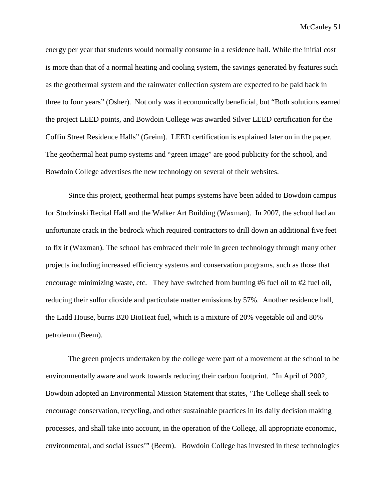energy per year that students would normally consume in a residence hall. While the initial cost is more than that of a normal heating and cooling system, the savings generated by features such as the geothermal system and the rainwater collection system are expected to be paid back in three to four years" (Osher). Not only was it economically beneficial, but "Both solutions earned the project LEED points, and Bowdoin College was awarded Silver LEED certification for the Coffin Street Residence Halls" (Greim). LEED certification is explained later on in the paper. The geothermal heat pump systems and "green image" are good publicity for the school, and Bowdoin College advertises the new technology on several of their websites.

Since this project, geothermal heat pumps systems have been added to Bowdoin campus for Studzinski Recital Hall and the Walker Art Building (Waxman). In 2007, the school had an unfortunate crack in the bedrock which required contractors to drill down an additional five feet to fix it (Waxman). The school has embraced their role in green technology through many other projects including increased efficiency systems and conservation programs, such as those that encourage minimizing waste, etc. They have switched from burning #6 fuel oil to #2 fuel oil, reducing their sulfur dioxide and particulate matter emissions by 57%. Another residence hall, the Ladd House, burns B20 BioHeat fuel, which is a mixture of 20% vegetable oil and 80% petroleum (Beem).

The green projects undertaken by the college were part of a movement at the school to be environmentally aware and work towards reducing their carbon footprint. "In April of 2002, Bowdoin adopted an Environmental Mission Statement that states, 'The College shall seek to encourage conservation, recycling, and other sustainable practices in its daily decision making processes, and shall take into account, in the operation of the College, all appropriate economic, environmental, and social issues'" (Beem). Bowdoin College has invested in these technologies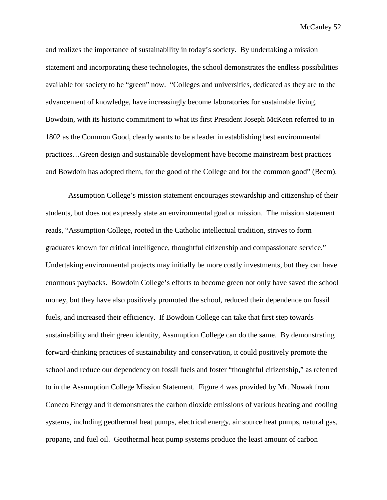and realizes the importance of sustainability in today's society. By undertaking a mission statement and incorporating these technologies, the school demonstrates the endless possibilities available for society to be "green" now. "Colleges and universities, dedicated as they are to the advancement of knowledge, have increasingly become laboratories for sustainable living. Bowdoin, with its historic commitment to what its first President Joseph McKeen referred to in 1802 as the Common Good, clearly wants to be a leader in establishing best environmental practices…Green design and sustainable development have become mainstream best practices and Bowdoin has adopted them, for the good of the College and for the common good" (Beem).

Assumption College's mission statement encourages stewardship and citizenship of their students, but does not expressly state an environmental goal or mission. The mission statement reads, "Assumption College, rooted in the Catholic intellectual tradition, strives to form graduates known for critical intelligence, thoughtful citizenship and compassionate service." Undertaking environmental projects may initially be more costly investments, but they can have enormous paybacks. Bowdoin College's efforts to become green not only have saved the school money, but they have also positively promoted the school, reduced their dependence on fossil fuels, and increased their efficiency. If Bowdoin College can take that first step towards sustainability and their green identity, Assumption College can do the same. By demonstrating forward-thinking practices of sustainability and conservation, it could positively promote the school and reduce our dependency on fossil fuels and foster "thoughtful citizenship," as referred to in the Assumption College Mission Statement. Figure 4 was provided by Mr. Nowak from Coneco Energy and it demonstrates the carbon dioxide emissions of various heating and cooling systems, including geothermal heat pumps, electrical energy, air source heat pumps, natural gas, propane, and fuel oil. Geothermal heat pump systems produce the least amount of carbon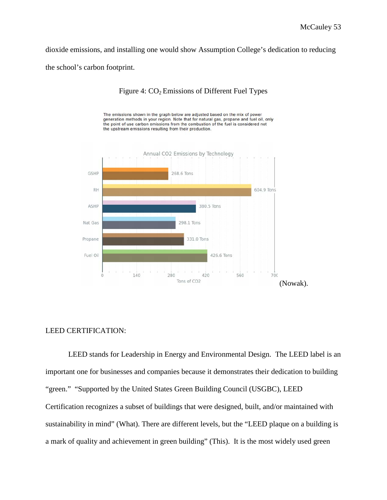dioxide emissions, and installing one would show Assumption College's dedication to reducing the school's carbon footprint.



# Figure 4:  $CO<sub>2</sub>$  Emissions of Different Fuel Types

The emissions shown in the graph below are adjusted based on the mix of power

## LEED CERTIFICATION:

LEED stands for Leadership in Energy and Environmental Design. The LEED label is an important one for businesses and companies because it demonstrates their dedication to building "green." "Supported by the United States Green Building Council (USGBC), LEED Certification recognizes a subset of buildings that were designed, built, and/or maintained with sustainability in mind" (What). There are different levels, but the "LEED plaque on a building is a mark of quality and achievement in green building" (This). It is the most widely used green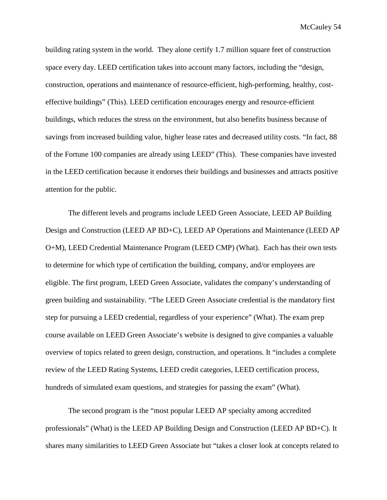building rating system in the world. They alone certify 1.7 million square feet of construction space every day. LEED certification takes into account many factors, including the "design, construction, operations and maintenance of resource-efficient, high-performing, healthy, costeffective buildings" (This). LEED certification encourages energy and resource-efficient buildings, which reduces the stress on the environment, but also benefits business because of savings from increased building value, higher lease rates and decreased utility costs. "In fact, 88 of the Fortune 100 companies are already using LEED" (This). These companies have invested in the LEED certification because it endorses their buildings and businesses and attracts positive attention for the public.

The different levels and programs include LEED Green Associate, LEED AP Building Design and Construction (LEED AP BD+C), LEED AP Operations and Maintenance (LEED AP O+M), LEED Credential Maintenance Program (LEED CMP) (What). Each has their own tests to determine for which type of certification the building, company, and/or employees are eligible. The first program, LEED Green Associate, validates the company's understanding of green building and sustainability. "The LEED Green Associate credential is the mandatory first step for pursuing a LEED credential, regardless of your experience" (What). The exam prep course available on LEED Green Associate's website is designed to give companies a valuable overview of topics related to green design, construction, and operations. It "includes a complete review of the LEED Rating Systems, LEED credit categories, LEED certification process, hundreds of simulated exam questions, and strategies for passing the exam" (What).

The second program is the "most popular LEED AP specialty among accredited professionals" (What) is the LEED AP Building Design and Construction (LEED AP BD+C). It shares many similarities to LEED Green Associate but "takes a closer look at concepts related to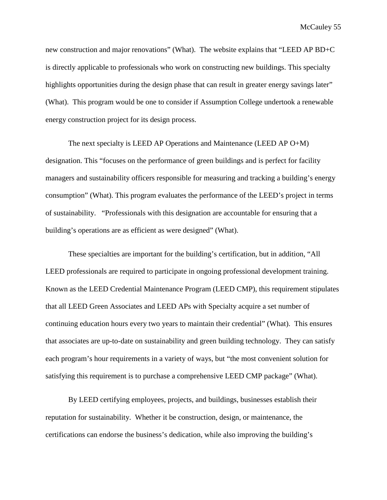new construction and major renovations" (What). The website explains that "LEED AP BD+C is directly applicable to professionals who work on constructing new buildings. This specialty highlights opportunities during the design phase that can result in greater energy savings later" (What). This program would be one to consider if Assumption College undertook a renewable energy construction project for its design process.

The next specialty is LEED AP Operations and Maintenance (LEED AP O+M) designation. This "focuses on the performance of green buildings and is perfect for facility managers and sustainability officers responsible for measuring and tracking a building's energy consumption" (What). This program evaluates the performance of the LEED's project in terms of sustainability. "Professionals with this designation are accountable for ensuring that a building's operations are as efficient as were designed" (What).

These specialties are important for the building's certification, but in addition, "All LEED professionals are required to participate in ongoing professional development training. Known as the LEED Credential Maintenance Program (LEED CMP), this requirement stipulates that all LEED Green Associates and LEED APs with Specialty acquire a set number of continuing education hours every two years to maintain their credential" (What). This ensures that associates are up-to-date on sustainability and green building technology. They can satisfy each program's hour requirements in a variety of ways, but "the most convenient solution for satisfying this requirement is to purchase a comprehensive LEED CMP package" (What).

By LEED certifying employees, projects, and buildings, businesses establish their reputation for sustainability. Whether it be construction, design, or maintenance, the certifications can endorse the business's dedication, while also improving the building's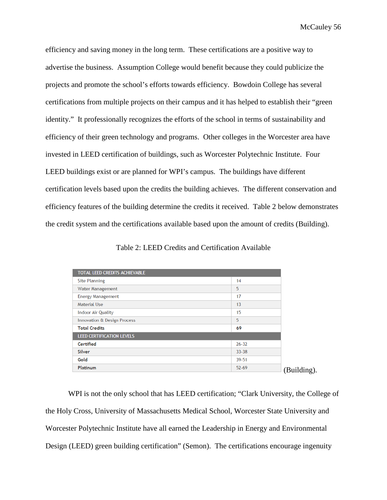efficiency and saving money in the long term. These certifications are a positive way to advertise the business. Assumption College would benefit because they could publicize the projects and promote the school's efforts towards efficiency. Bowdoin College has several certifications from multiple projects on their campus and it has helped to establish their "green identity." It professionally recognizes the efforts of the school in terms of sustainability and efficiency of their green technology and programs. Other colleges in the Worcester area have invested in LEED certification of buildings, such as Worcester Polytechnic Institute. Four LEED buildings exist or are planned for WPI's campus. The buildings have different certification levels based upon the credits the building achieves. The different conservation and efficiency features of the building determine the credits it received. Table 2 below demonstrates the credit system and the certifications available based upon the amount of credits (Building).

Table 2: LEED Credits and Certification Available

| TOTAL LEED CREDITS ACHIEVABLE    |           |  |
|----------------------------------|-----------|--|
| <b>Site Planning</b>             | 14        |  |
| Water Management                 | 5         |  |
| <b>Energy Management</b>         | 17        |  |
| Material Use                     | 13        |  |
| <b>Indoor Air Quality</b>        | 15        |  |
| Innovation & Design Process      | 5         |  |
| <b>Total Credits</b>             | 69        |  |
| <b>LEED CERTIFICATION LEVELS</b> |           |  |
| Certified                        | $26 - 32$ |  |
| <b>Silver</b>                    | $33 - 38$ |  |
| Gold                             | 39-51     |  |
| <b>Platinum</b>                  | $52 - 69$ |  |

WPI is not the only school that has LEED certification; "Clark University, the College of the Holy Cross, University of Massachusetts Medical School, Worcester State University and Worcester Polytechnic Institute have all earned the Leadership in Energy and Environmental Design (LEED) green building certification" (Semon). The certifications encourage ingenuity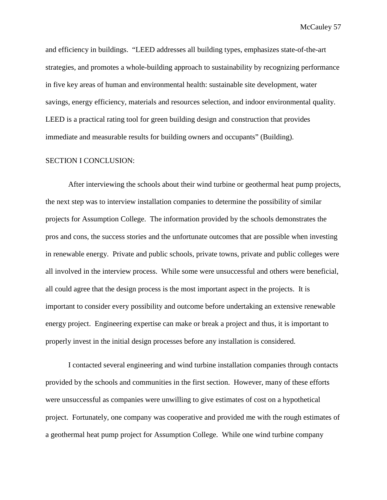and efficiency in buildings. "LEED addresses all building types, emphasizes state-of-the-art strategies, and promotes a whole-building approach to sustainability by recognizing performance in five key areas of human and environmental health: sustainable site development, water savings, energy efficiency, materials and resources selection, and indoor environmental quality. LEED is a practical rating tool for green building design and construction that provides immediate and measurable results for building owners and occupants" (Building).

## SECTION I CONCLUSION:

After interviewing the schools about their wind turbine or geothermal heat pump projects, the next step was to interview installation companies to determine the possibility of similar projects for Assumption College. The information provided by the schools demonstrates the pros and cons, the success stories and the unfortunate outcomes that are possible when investing in renewable energy. Private and public schools, private towns, private and public colleges were all involved in the interview process. While some were unsuccessful and others were beneficial, all could agree that the design process is the most important aspect in the projects. It is important to consider every possibility and outcome before undertaking an extensive renewable energy project. Engineering expertise can make or break a project and thus, it is important to properly invest in the initial design processes before any installation is considered.

I contacted several engineering and wind turbine installation companies through contacts provided by the schools and communities in the first section. However, many of these efforts were unsuccessful as companies were unwilling to give estimates of cost on a hypothetical project. Fortunately, one company was cooperative and provided me with the rough estimates of a geothermal heat pump project for Assumption College. While one wind turbine company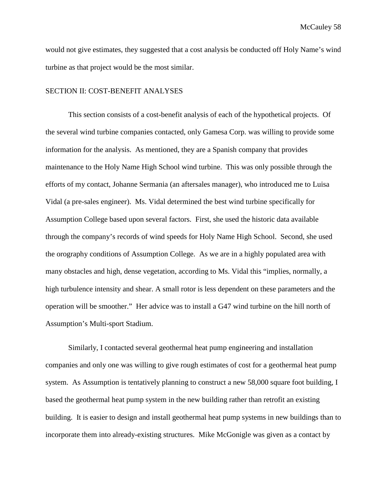would not give estimates, they suggested that a cost analysis be conducted off Holy Name's wind turbine as that project would be the most similar.

## SECTION II: COST-BENEFIT ANALYSES

This section consists of a cost-benefit analysis of each of the hypothetical projects. Of the several wind turbine companies contacted, only Gamesa Corp. was willing to provide some information for the analysis. As mentioned, they are a Spanish company that provides maintenance to the Holy Name High School wind turbine. This was only possible through the efforts of my contact, Johanne Sermania (an aftersales manager), who introduced me to Luisa Vidal (a pre-sales engineer). Ms. Vidal determined the best wind turbine specifically for Assumption College based upon several factors. First, she used the historic data available through the company's records of wind speeds for Holy Name High School. Second, she used the orography conditions of Assumption College. As we are in a highly populated area with many obstacles and high, dense vegetation, according to Ms. Vidal this "implies, normally, a high turbulence intensity and shear. A small rotor is less dependent on these parameters and the operation will be smoother." Her advice was to install a G47 wind turbine on the hill north of Assumption's Multi-sport Stadium.

Similarly, I contacted several geothermal heat pump engineering and installation companies and only one was willing to give rough estimates of cost for a geothermal heat pump system. As Assumption is tentatively planning to construct a new 58,000 square foot building, I based the geothermal heat pump system in the new building rather than retrofit an existing building. It is easier to design and install geothermal heat pump systems in new buildings than to incorporate them into already-existing structures. Mike McGonigle was given as a contact by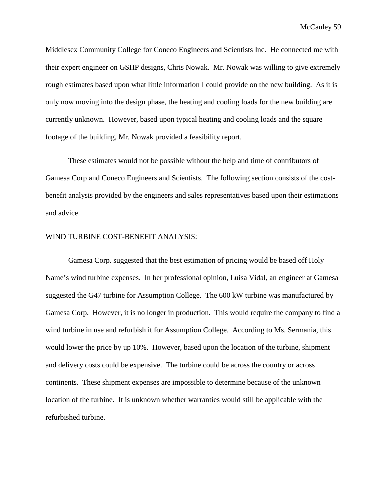Middlesex Community College for Coneco Engineers and Scientists Inc. He connected me with their expert engineer on GSHP designs, Chris Nowak. Mr. Nowak was willing to give extremely rough estimates based upon what little information I could provide on the new building. As it is only now moving into the design phase, the heating and cooling loads for the new building are currently unknown. However, based upon typical heating and cooling loads and the square footage of the building, Mr. Nowak provided a feasibility report.

These estimates would not be possible without the help and time of contributors of Gamesa Corp and Coneco Engineers and Scientists. The following section consists of the costbenefit analysis provided by the engineers and sales representatives based upon their estimations and advice.

#### WIND TURBINE COST-BENEFIT ANALYSIS:

Gamesa Corp. suggested that the best estimation of pricing would be based off Holy Name's wind turbine expenses. In her professional opinion, Luisa Vidal, an engineer at Gamesa suggested the G47 turbine for Assumption College. The 600 kW turbine was manufactured by Gamesa Corp. However, it is no longer in production. This would require the company to find a wind turbine in use and refurbish it for Assumption College. According to Ms. Sermania, this would lower the price by up 10%. However, based upon the location of the turbine, shipment and delivery costs could be expensive. The turbine could be across the country or across continents. These shipment expenses are impossible to determine because of the unknown location of the turbine. It is unknown whether warranties would still be applicable with the refurbished turbine.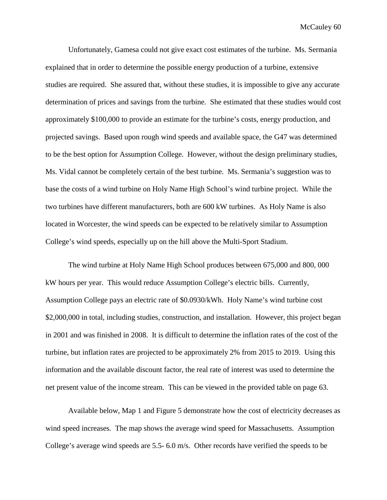Unfortunately, Gamesa could not give exact cost estimates of the turbine. Ms. Sermania explained that in order to determine the possible energy production of a turbine, extensive studies are required. She assured that, without these studies, it is impossible to give any accurate determination of prices and savings from the turbine. She estimated that these studies would cost approximately \$100,000 to provide an estimate for the turbine's costs, energy production, and projected savings. Based upon rough wind speeds and available space, the G47 was determined to be the best option for Assumption College. However, without the design preliminary studies, Ms. Vidal cannot be completely certain of the best turbine. Ms. Sermania's suggestion was to base the costs of a wind turbine on Holy Name High School's wind turbine project. While the two turbines have different manufacturers, both are 600 kW turbines. As Holy Name is also located in Worcester, the wind speeds can be expected to be relatively similar to Assumption College's wind speeds, especially up on the hill above the Multi-Sport Stadium.

The wind turbine at Holy Name High School produces between 675,000 and 800, 000 kW hours per year. This would reduce Assumption College's electric bills. Currently, Assumption College pays an electric rate of \$0.0930/kWh. Holy Name's wind turbine cost \$2,000,000 in total, including studies, construction, and installation. However, this project began in 2001 and was finished in 2008. It is difficult to determine the inflation rates of the cost of the turbine, but inflation rates are projected to be approximately 2% from 2015 to 2019. Using this information and the available discount factor, the real rate of interest was used to determine the net present value of the income stream. This can be viewed in the provided table on page 63.

Available below, Map 1 and Figure 5 demonstrate how the cost of electricity decreases as wind speed increases. The map shows the average wind speed for Massachusetts. Assumption College's average wind speeds are 5.5- 6.0 m/s. Other records have verified the speeds to be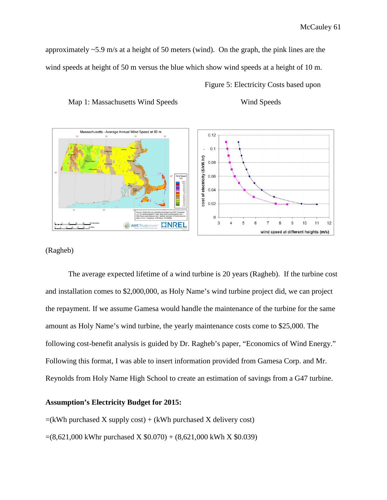approximately ~5.9 m/s at a height of 50 meters (wind). On the graph, the pink lines are the wind speeds at height of 50 m versus the blue which show wind speeds at a height of 10 m.

Figure 5: Electricity Costs based upon



Map 1: Massachusetts Wind Speeds Wind Speeds

## (Ragheb)

The average expected lifetime of a wind turbine is 20 years (Ragheb). If the turbine cost and installation comes to \$2,000,000, as Holy Name's wind turbine project did, we can project the repayment. If we assume Gamesa would handle the maintenance of the turbine for the same amount as Holy Name's wind turbine, the yearly maintenance costs come to \$25,000. The following cost-benefit analysis is guided by Dr. Ragheb's paper, "Economics of Wind Energy." Following this format, I was able to insert information provided from Gamesa Corp. and Mr. Reynolds from Holy Name High School to create an estimation of savings from a G47 turbine.

## **Assumption's Electricity Budget for 2015:**

 $=(kWh$  purchased X supply cost) + (kWh purchased X delivery cost)  $=(8,621,000$  kWhr purchased X  $$0.070) + (8,621,000$  kWh X  $$0.039)$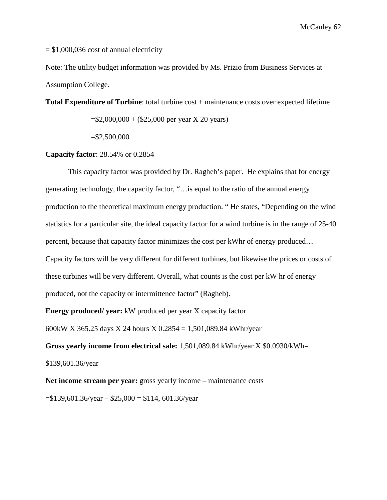McCauley<sub>62</sub>

 $= $1,000,036$  cost of annual electricity

Note: The utility budget information was provided by Ms. Prizio from Business Services at Assumption College.

**Total Expenditure of Turbine**: total turbine cost + maintenance costs over expected lifetime

 $= $2,000,000 + ($25,000$  per year X 20 years)

=\$2,500,000

# **Capacity factor**: 28.54% or 0.2854

This capacity factor was provided by Dr. Ragheb's paper. He explains that for energy generating technology, the capacity factor, "…is equal to the ratio of the annual energy production to the theoretical maximum energy production. " He states, "Depending on the wind statistics for a particular site, the ideal capacity factor for a wind turbine is in the range of 25-40 percent, because that capacity factor minimizes the cost per kWhr of energy produced… Capacity factors will be very different for different turbines, but likewise the prices or costs of these turbines will be very different. Overall, what counts is the cost per kW hr of energy produced, not the capacity or intermittence factor" (Ragheb).

**Energy produced/ year:** kW produced per year X capacity factor

600kW X 365.25 days X 24 hours X 0.2854 = 1,501,089.84 kWhr/year

**Gross yearly income from electrical sale:** 1,501,089.84 kWhr/year X \$0.0930/kWh= \$139,601.36/year

**Net income stream per year:** gross yearly income – maintenance costs

=\$139,601.36/year **–** \$25,000 = \$114, 601.36/year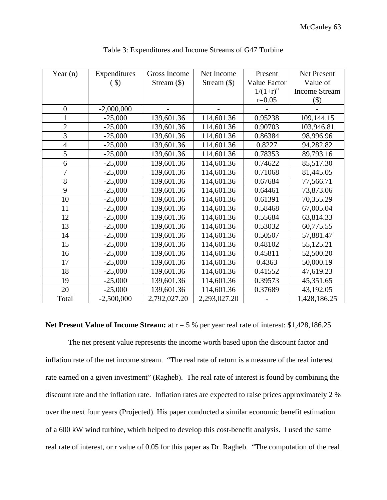| Year $(n)$     | Expenditures | Gross Income  | Net Income    | Present      | <b>Net Present</b>   |
|----------------|--------------|---------------|---------------|--------------|----------------------|
|                | $($ \$       | Stream $(\$)$ | Stream $(\$)$ | Value Factor | Value of             |
|                |              |               |               | $1/(1+r)^n$  | <b>Income Stream</b> |
|                |              |               |               | $r=0.05$     | \$)                  |
| $\overline{0}$ | $-2,000,000$ |               |               |              |                      |
|                | $-25,000$    | 139,601.36    | 114,601.36    | 0.95238      | 109,144.15           |
| $\overline{2}$ | $-25,000$    | 139,601.36    | 114,601.36    | 0.90703      | 103,946.81           |
| 3              | $-25,000$    | 139,601.36    | 114,601.36    | 0.86384      | 98,996.96            |
| $\overline{4}$ | $-25,000$    | 139,601.36    | 114,601.36    | 0.8227       | 94,282.82            |
| 5              | $-25,000$    | 139,601.36    | 114,601.36    | 0.78353      | 89,793.16            |
| 6              | $-25,000$    | 139,601.36    | 114,601.36    | 0.74622      | 85,517.30            |
| 7              | $-25,000$    | 139,601.36    | 114,601.36    | 0.71068      | 81,445.05            |
| 8              | $-25,000$    | 139,601.36    | 114,601.36    | 0.67684      | 77,566.71            |
| 9              | $-25,000$    | 139,601.36    | 114,601.36    | 0.64461      | 73,873.06            |
| 10             | $-25,000$    | 139,601.36    | 114,601.36    | 0.61391      | 70,355.29            |
| 11             | $-25,000$    | 139,601.36    | 114,601.36    | 0.58468      | 67,005.04            |
| 12             | $-25,000$    | 139,601.36    | 114,601.36    | 0.55684      | 63,814.33            |
| 13             | $-25,000$    | 139,601.36    | 114,601.36    | 0.53032      | 60,775.55            |
| 14             | $-25,000$    | 139,601.36    | 114,601.36    | 0.50507      | 57,881.47            |
| 15             | $-25,000$    | 139,601.36    | 114,601.36    | 0.48102      | 55,125.21            |
| 16             | $-25,000$    | 139,601.36    | 114,601.36    | 0.45811      | 52,500.20            |
| 17             | $-25,000$    | 139,601.36    | 114,601.36    | 0.4363       | 50,000.19            |
| 18             | $-25,000$    | 139,601.36    | 114,601.36    | 0.41552      | 47,619.23            |
| 19             | $-25,000$    | 139,601.36    | 114,601.36    | 0.39573      | 45,351.65            |
| 20             | $-25,000$    | 139,601.36    | 114,601.36    | 0.37689      | 43,192.05            |
| Total          | $-2,500,000$ | 2,792,027.20  | 2,293,027.20  |              | 1,428,186.25         |

Table 3: Expenditures and Income Streams of G47 Turbine

## **Net Present Value of Income Stream:** at  $r = 5$  % per year real rate of interest: \$1,428,186.25

The net present value represents the income worth based upon the discount factor and inflation rate of the net income stream. "The real rate of return is a measure of the real interest rate earned on a given investment" (Ragheb). The real rate of interest is found by combining the discount rate and the inflation rate. Inflation rates are expected to raise prices approximately 2 % over the next four years (Projected). His paper conducted a similar economic benefit estimation of a 600 kW wind turbine, which helped to develop this cost-benefit analysis. I used the same real rate of interest, or r value of 0.05 for this paper as Dr. Ragheb. "The computation of the real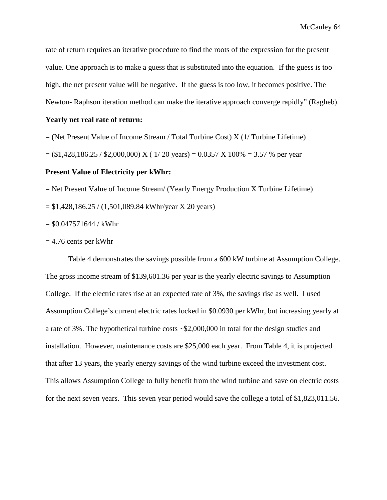rate of return requires an iterative procedure to find the roots of the expression for the present value. One approach is to make a guess that is substituted into the equation. If the guess is too high, the net present value will be negative. If the guess is too low, it becomes positive. The Newton- Raphson iteration method can make the iterative approach converge rapidly" (Ragheb).

#### **Yearly net real rate of return:**

 $=$  (Net Present Value of Income Stream / Total Turbine Cost) X (1/ Turbine Lifetime)

 $= (1,428,186.25 / 2,000,000)$  X ( 1/20 years) = 0.0357 X 100% = 3.57 % per year

#### **Present Value of Electricity per kWhr:**

= Net Present Value of Income Stream/ (Yearly Energy Production X Turbine Lifetime)

= \$1,428,186.25 / (1,501,089.84 kWhr/year X 20 years)

 $= $0.047571644 / kWhr$ 

#### $= 4.76$  cents per kWhr

Table 4 demonstrates the savings possible from a 600 kW turbine at Assumption College. The gross income stream of \$139,601.36 per year is the yearly electric savings to Assumption College. If the electric rates rise at an expected rate of 3%, the savings rise as well. I used Assumption College's current electric rates locked in \$0.0930 per kWhr, but increasing yearly at a rate of 3%. The hypothetical turbine costs ~\$2,000,000 in total for the design studies and installation. However, maintenance costs are \$25,000 each year. From Table 4, it is projected that after 13 years, the yearly energy savings of the wind turbine exceed the investment cost. This allows Assumption College to fully benefit from the wind turbine and save on electric costs for the next seven years. This seven year period would save the college a total of \$1,823,011.56.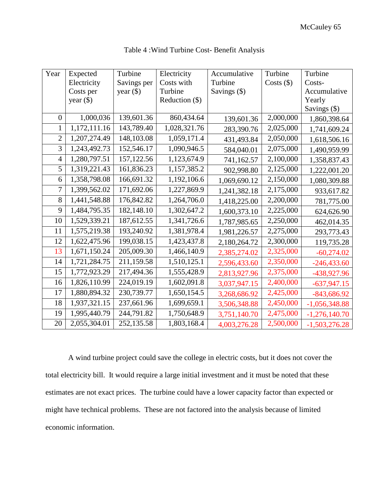| Year             | Expected     | Turbine     | Electricity      | Accumulative            | Turbine   | Turbine         |
|------------------|--------------|-------------|------------------|-------------------------|-----------|-----------------|
|                  | Electricity  | Savings per | Costs with       | Turbine<br>Costs $(\$)$ |           | Costs-          |
|                  | Costs per    | year $(\$)$ | Turbine          | Savings (\$)            |           | Accumulative    |
|                  | year $(\$)$  |             | Reduction $(\$)$ |                         |           | Yearly          |
|                  |              |             |                  |                         |           | Savings (\$)    |
| $\boldsymbol{0}$ | 1,000,036    | 139,601.36  | 860,434.64       | 139,601.36              | 2,000,000 | 1,860,398.64    |
| $\mathbf{1}$     | 1,172,111.16 | 143,789.40  | 1,028,321.76     | 283,390.76              | 2,025,000 | 1,741,609.24    |
| $\overline{2}$   | 1,207,274.49 | 148,103.08  | 1,059,171.4      | 431,493.84              | 2,050,000 | 1,618,506.16    |
| 3                | 1,243,492.73 | 152,546.17  | 1,090,946.5      | 584,040.01              | 2,075,000 | 1,490,959.99    |
| $\overline{4}$   | 1,280,797.51 | 157, 122.56 | 1,123,674.9      | 741,162.57              | 2,100,000 | 1,358,837.43    |
| 5                | 1,319,221.43 | 161,836.23  | 1,157,385.2      | 902,998.80              | 2,125,000 | 1,222,001.20    |
| 6                | 1,358,798.08 | 166,691.32  | 1,192,106.6      | 1,069,690.12            | 2,150,000 | 1,080,309.88    |
| $\overline{7}$   | 1,399,562.02 | 171,692.06  | 1,227,869.9      | 1,241,382.18            | 2,175,000 | 933,617.82      |
| 8                | 1,441,548.88 | 176,842.82  | 1,264,706.0      | 1,418,225.00            | 2,200,000 | 781,775.00      |
| 9                | 1,484,795.35 | 182,148.10  | 1,302,647.2      | 1,600,373.10            | 2,225,000 | 624,626.90      |
| 10               | 1,529,339.21 | 187,612.55  | 1,341,726.6      | 1,787,985.65            | 2,250,000 | 462,014.35      |
| 11               | 1,575,219.38 | 193,240.92  | 1,381,978.4      | 1,981,226.57            | 2,275,000 | 293,773.43      |
| 12               | 1,622,475.96 | 199,038.15  | 1,423,437.8      | 2,180,264.72            | 2,300,000 | 119,735.28      |
| 13               | 1,671,150.24 | 205,009.30  | 1,466,140.9      | 2,385,274.02            | 2,325,000 | $-60,274.02$    |
| 14               | 1,721,284.75 | 211,159.58  | 1,510,125.1      | 2,596,433.60            | 2,350,000 | $-246,433.60$   |
| 15               | 1,772,923.29 | 217,494.36  | 1,555,428.9      | 2,813,927.96            | 2,375,000 | -438,927.96     |
| 16               | 1,826,110.99 | 224,019.19  | 1,602,091.8      | 3,037,947.15            | 2,400,000 | $-637,947.15$   |
| 17               | 1,880,894.32 | 230,739.77  | 1,650,154.5      | 3,268,686.92            | 2,425,000 | $-843,686.92$   |
| 18               | 1,937,321.15 | 237,661.96  | 1,699,659.1      | 3,506,348.88            | 2,450,000 | $-1,056,348.88$ |
| 19               | 1,995,440.79 | 244,791.82  | 1,750,648.9      | 3,751,140.70            | 2,475,000 | $-1,276,140.70$ |
| 20               | 2,055,304.01 | 252,135.58  | 1,803,168.4      | 4,003,276.28            | 2,500,000 | $-1,503,276.28$ |

| Table 4: Wind Turbine Cost-Benefit Analysis |  |  |  |  |
|---------------------------------------------|--|--|--|--|
|---------------------------------------------|--|--|--|--|

A wind turbine project could save the college in electric costs, but it does not cover the total electricity bill. It would require a large initial investment and it must be noted that these estimates are not exact prices. The turbine could have a lower capacity factor than expected or might have technical problems. These are not factored into the analysis because of limited economic information.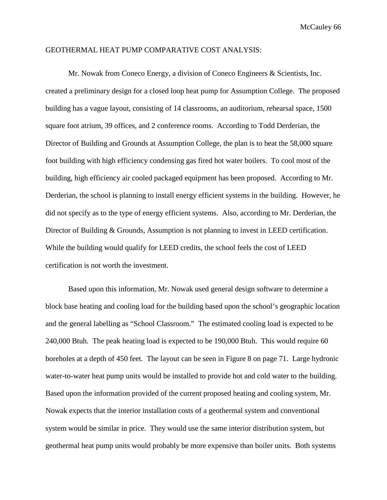#### GEOTHERMAL HEAT PUMP COMPARATIVE COST ANALYSIS:

Mr. Nowak from Coneco Energy, a division of Coneco Engineers & Scientists, Inc. created a preliminary design for a closed loop heat pump for Assumption College. The proposed building has a vague layout, consisting of 14 classrooms, an auditorium, rehearsal space, 1500 square foot atrium, 39 offices, and 2 conference rooms. According to Todd Derderian, the Director of Building and Grounds at Assumption College, the plan is to heat the 58,000 square foot building with high efficiency condensing gas fired hot water boilers. To cool most of the building, high efficiency air cooled packaged equipment has been proposed. According to Mr. Derderian, the school is planning to install energy efficient systems in the building. However, he did not specify as to the type of energy efficient systems. Also, according to Mr. Derderian, the Director of Building & Grounds, Assumption is not planning to invest in LEED certification. While the building would qualify for LEED credits, the school feels the cost of LEED certification is not worth the investment.

Based upon this information, Mr. Nowak used general design software to determine a block base heating and cooling load for the building based upon the school's geographic location and the general labelling as "School Classroom." The estimated cooling load is expected to be 240,000 Btuh. The peak heating load is expected to be 190,000 Btuh. This would require 60 boreholes at a depth of 450 feet. The layout can be seen in Figure 8 on page 71. Large hydronic water-to-water heat pump units would be installed to provide hot and cold water to the building. Based upon the information provided of the current proposed heating and cooling system, Mr. Nowak expects that the interior installation costs of a geothermal system and conventional system would be similar in price. They would use the same interior distribution system, but geothermal heat pump units would probably be more expensive than boiler units. Both systems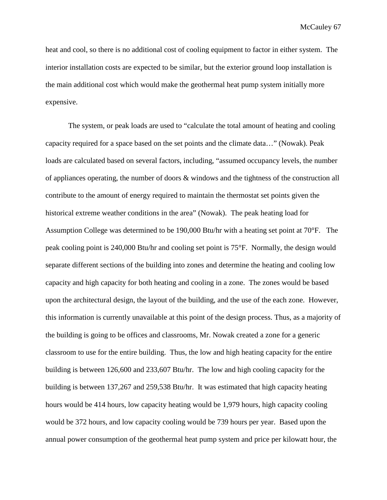heat and cool, so there is no additional cost of cooling equipment to factor in either system. The interior installation costs are expected to be similar, but the exterior ground loop installation is the main additional cost which would make the geothermal heat pump system initially more expensive.

The system, or peak loads are used to "calculate the total amount of heating and cooling capacity required for a space based on the set points and the climate data…" (Nowak). Peak loads are calculated based on several factors, including, "assumed occupancy levels, the number of appliances operating, the number of doors & windows and the tightness of the construction all contribute to the amount of energy required to maintain the thermostat set points given the historical extreme weather conditions in the area" (Nowak). The peak heating load for Assumption College was determined to be 190,000 Btu/hr with a heating set point at 70°F. The peak cooling point is 240,000 Btu/hr and cooling set point is 75°F. Normally, the design would separate different sections of the building into zones and determine the heating and cooling low capacity and high capacity for both heating and cooling in a zone. The zones would be based upon the architectural design, the layout of the building, and the use of the each zone. However, this information is currently unavailable at this point of the design process. Thus, as a majority of the building is going to be offices and classrooms, Mr. Nowak created a zone for a generic classroom to use for the entire building. Thus, the low and high heating capacity for the entire building is between 126,600 and 233,607 Btu/hr. The low and high cooling capacity for the building is between 137,267 and 259,538 Btu/hr. It was estimated that high capacity heating hours would be 414 hours, low capacity heating would be 1,979 hours, high capacity cooling would be 372 hours, and low capacity cooling would be 739 hours per year. Based upon the annual power consumption of the geothermal heat pump system and price per kilowatt hour, the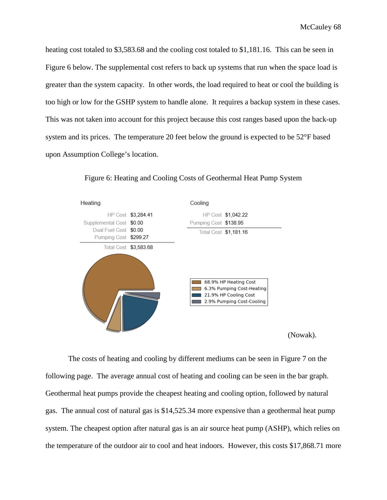heating cost totaled to \$3,583.68 and the cooling cost totaled to \$1,181.16. This can be seen in Figure 6 below. The supplemental cost refers to back up systems that run when the space load is greater than the system capacity. In other words, the load required to heat or cool the building is too high or low for the GSHP system to handle alone. It requires a backup system in these cases. This was not taken into account for this project because this cost ranges based upon the back-up system and its prices. The temperature 20 feet below the ground is expected to be 52°F based upon Assumption College's location.



Figure 6: Heating and Cooling Costs of Geothermal Heat Pump System

(Nowak).

The costs of heating and cooling by different mediums can be seen in Figure 7 on the following page. The average annual cost of heating and cooling can be seen in the bar graph. Geothermal heat pumps provide the cheapest heating and cooling option, followed by natural gas. The annual cost of natural gas is \$14,525.34 more expensive than a geothermal heat pump system. The cheapest option after natural gas is an air source heat pump (ASHP), which relies on the temperature of the outdoor air to cool and heat indoors. However, this costs \$17,868.71 more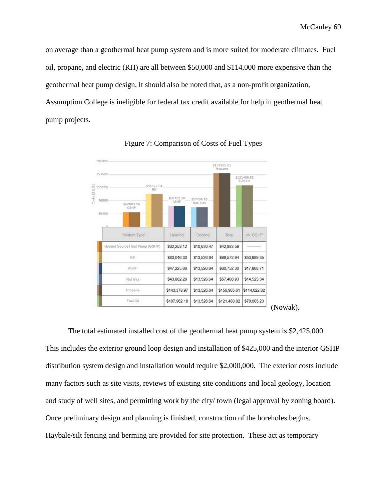on average than a geothermal heat pump system and is more suited for moderate climates. Fuel oil, propane, and electric (RH) are all between \$50,000 and \$114,000 more expensive than the geothermal heat pump design. It should also be noted that, as a non-profit organization, Assumption College is ineligible for federal tax credit available for help in geothermal heat pump projects.





The total estimated installed cost of the geothermal heat pump system is \$2,425,000. This includes the exterior ground loop design and installation of \$425,000 and the interior GSHP distribution system design and installation would require \$2,000,000. The exterior costs include many factors such as site visits, reviews of existing site conditions and local geology, location and study of well sites, and permitting work by the city/ town (legal approval by zoning board). Once preliminary design and planning is finished, construction of the boreholes begins. Haybale/silt fencing and berming are provided for site protection. These act as temporary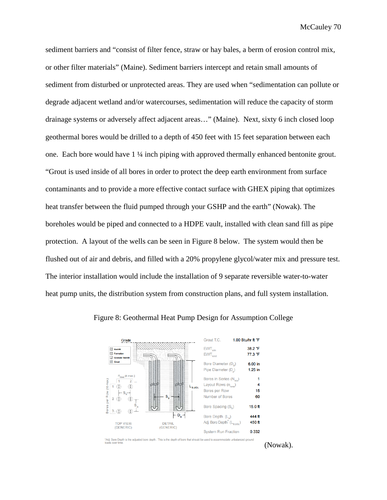sediment barriers and "consist of filter fence, straw or hay bales, a berm of erosion control mix, or other filter materials" (Maine). Sediment barriers intercept and retain small amounts of sediment from disturbed or unprotected areas. They are used when "sedimentation can pollute or degrade adjacent wetland and/or watercourses, sedimentation will reduce the capacity of storm drainage systems or adversely affect adjacent areas…" (Maine). Next, sixty 6 inch closed loop geothermal bores would be drilled to a depth of 450 feet with 15 feet separation between each one. Each bore would have 1 ¼ inch piping with approved thermally enhanced bentonite grout. "Grout is used inside of all bores in order to protect the deep earth environment from surface contaminants and to provide a more effective contact surface with GHEX piping that optimizes heat transfer between the fluid pumped through your GSHP and the earth" (Nowak). The boreholes would be piped and connected to a HDPE vault, installed with clean sand fill as pipe protection. A layout of the wells can be seen in Figure 8 below. The system would then be flushed out of air and debris, and filled with a 20% propylene glycol/water mix and pressure test. The interior installation would include the installation of 9 separate reversible water-to-water heat pump units, the distribution system from construction plans, and full system installation.



Figure 8: Geothermal Heat Pump Design for Assumption College

\*Adj. Bore Depth is the adjusted bore depth. This is the depth of bore that shoulds over time. uld be used to accommodate unbalanced ground

(Nowak).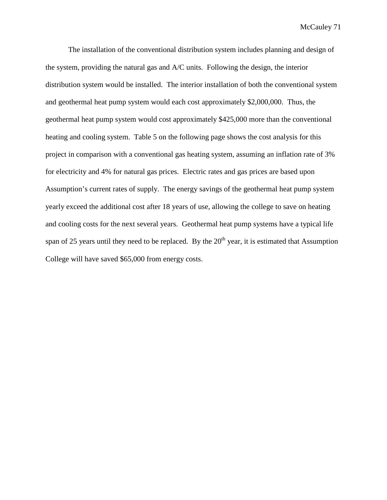The installation of the conventional distribution system includes planning and design of the system, providing the natural gas and A/C units. Following the design, the interior distribution system would be installed. The interior installation of both the conventional system and geothermal heat pump system would each cost approximately \$2,000,000. Thus, the geothermal heat pump system would cost approximately \$425,000 more than the conventional heating and cooling system. Table 5 on the following page shows the cost analysis for this project in comparison with a conventional gas heating system, assuming an inflation rate of 3% for electricity and 4% for natural gas prices. Electric rates and gas prices are based upon Assumption's current rates of supply. The energy savings of the geothermal heat pump system yearly exceed the additional cost after 18 years of use, allowing the college to save on heating and cooling costs for the next several years. Geothermal heat pump systems have a typical life span of 25 years until they need to be replaced. By the  $20<sup>th</sup>$  year, it is estimated that Assumption College will have saved \$65,000 from energy costs.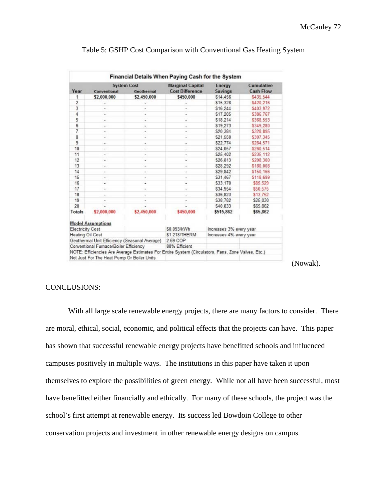| <b>System Cost</b>                                                                                                                          |                          | <b>Marginal Capital</b>  | Energy                   | Cumulative     |                  |
|---------------------------------------------------------------------------------------------------------------------------------------------|--------------------------|--------------------------|--------------------------|----------------|------------------|
| Year                                                                                                                                        | Conventional             | Geothermal               | <b>Cost Difference</b>   | <b>Savings</b> | <b>Cash Flow</b> |
| 1                                                                                                                                           | \$2,000,000              | \$2,450,000              | \$450,000                | \$14,456       | S435.544         |
| $\overline{2}$                                                                                                                              | ٠                        | ۷                        |                          | \$15,328       | S420.216         |
| 3                                                                                                                                           |                          |                          |                          | \$16,244       | S403.972         |
| $\overline{4}$                                                                                                                              | ۰                        | é                        | ÷                        | \$17,205       | \$386.767        |
| 5                                                                                                                                           | ٠                        | ×.                       | ٠                        | \$18,214       | \$368.553        |
| 6                                                                                                                                           | ٠                        | ۰                        | ۰                        | \$19,273       | \$349,280        |
| 7                                                                                                                                           | ۰                        | ٠                        | ٠                        | \$20.384       | \$328.895        |
| 8                                                                                                                                           | ×                        | ٠                        | $\alpha$                 | \$21.550       | \$307,345        |
| $\overline{9}$                                                                                                                              | ٠                        | ۰                        | ٠                        | \$22,774       | \$284,571        |
| 10                                                                                                                                          | ÷                        | ۰                        |                          | \$24,057       | \$260.514        |
| 11                                                                                                                                          | ä,                       | $\overline{\phantom{a}}$ | ÷                        | \$25.402       | \$235.112        |
| 12                                                                                                                                          | ٠                        | ۰                        | ÷                        | \$26,813       | \$208,300        |
| 13                                                                                                                                          | $\overline{\phantom{a}}$ | ÷                        | ٠                        | \$28,292       | \$180,008        |
| 14                                                                                                                                          | ٠                        | ۰                        | ¥                        | \$29.842       | \$150,166        |
| 15                                                                                                                                          | ٠                        | ۰                        | ۰                        | \$31,467       | \$118,699        |
| 16                                                                                                                                          | $\overline{\phantom{a}}$ | ÷                        | $\overline{\phantom{a}}$ | \$33.170       | \$85,529         |
| 17                                                                                                                                          | ٠                        | ٠                        | s,                       | \$34.954       | \$50,575         |
| 18                                                                                                                                          | $\sim$                   | ٠                        | ٠                        | \$36,823       | \$13,752         |
| 19                                                                                                                                          | ٠                        |                          |                          | \$38,782       | \$25,030         |
| 20                                                                                                                                          |                          |                          |                          | S40.833        | \$65,862         |
| Totals                                                                                                                                      | \$2,000,000              | \$2,450,000              | \$450,000                | \$515,862      | \$65,862         |
|                                                                                                                                             | <b>Model Assumptions</b> |                          |                          |                |                  |
| <b>Electricity Cost</b>                                                                                                                     |                          | \$0.093/kWh              | Increases 3% every year  |                |                  |
| Heating Oil Cost                                                                                                                            |                          | <b>\$1.218/THERM</b>     | Increases 4% every year  |                |                  |
| Geothermal Unit Efficiency (Seasonal Average)                                                                                               |                          |                          | 2.69 COP                 |                |                  |
| Conventional Furnace/Boiler Efficiency<br>NOTE: Efficiencies Are Average Estimates For Entire System (Circulators, Fans, Zone Valves, Etc.) |                          |                          | 88% Efficient            |                |                  |

## Table 5: GSHP Cost Comparison with Conventional Gas Heating System

(Nowak).

## CONCLUSIONS:

With all large scale renewable energy projects, there are many factors to consider. There are moral, ethical, social, economic, and political effects that the projects can have. This paper has shown that successful renewable energy projects have benefitted schools and influenced campuses positively in multiple ways. The institutions in this paper have taken it upon themselves to explore the possibilities of green energy. While not all have been successful, most have benefitted either financially and ethically. For many of these schools, the project was the school's first attempt at renewable energy. Its success led Bowdoin College to other conservation projects and investment in other renewable energy designs on campus.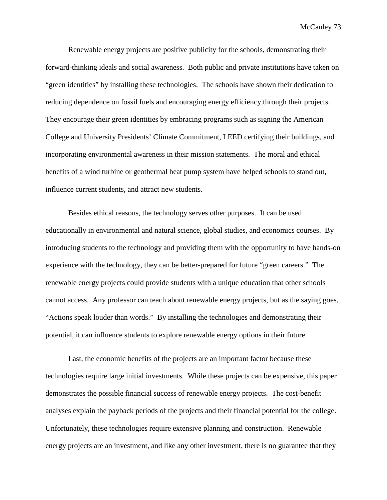McCauley 73

Renewable energy projects are positive publicity for the schools, demonstrating their forward-thinking ideals and social awareness. Both public and private institutions have taken on "green identities" by installing these technologies. The schools have shown their dedication to reducing dependence on fossil fuels and encouraging energy efficiency through their projects. They encourage their green identities by embracing programs such as signing the American College and University Presidents' Climate Commitment, LEED certifying their buildings, and incorporating environmental awareness in their mission statements. The moral and ethical benefits of a wind turbine or geothermal heat pump system have helped schools to stand out, influence current students, and attract new students.

Besides ethical reasons, the technology serves other purposes. It can be used educationally in environmental and natural science, global studies, and economics courses. By introducing students to the technology and providing them with the opportunity to have hands-on experience with the technology, they can be better-prepared for future "green careers." The renewable energy projects could provide students with a unique education that other schools cannot access. Any professor can teach about renewable energy projects, but as the saying goes, "Actions speak louder than words." By installing the technologies and demonstrating their potential, it can influence students to explore renewable energy options in their future.

Last, the economic benefits of the projects are an important factor because these technologies require large initial investments. While these projects can be expensive, this paper demonstrates the possible financial success of renewable energy projects. The cost-benefit analyses explain the payback periods of the projects and their financial potential for the college. Unfortunately, these technologies require extensive planning and construction. Renewable energy projects are an investment, and like any other investment, there is no guarantee that they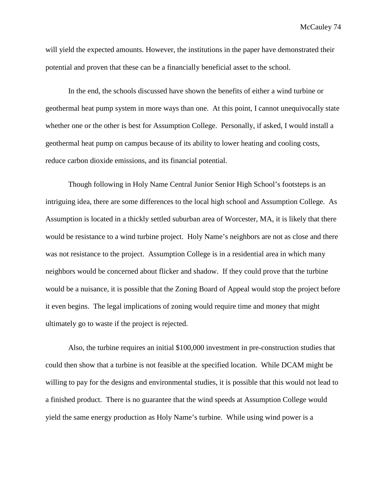McCauley 74

will yield the expected amounts. However, the institutions in the paper have demonstrated their potential and proven that these can be a financially beneficial asset to the school.

In the end, the schools discussed have shown the benefits of either a wind turbine or geothermal heat pump system in more ways than one. At this point, I cannot unequivocally state whether one or the other is best for Assumption College. Personally, if asked, I would install a geothermal heat pump on campus because of its ability to lower heating and cooling costs, reduce carbon dioxide emissions, and its financial potential.

Though following in Holy Name Central Junior Senior High School's footsteps is an intriguing idea, there are some differences to the local high school and Assumption College. As Assumption is located in a thickly settled suburban area of Worcester, MA, it is likely that there would be resistance to a wind turbine project. Holy Name's neighbors are not as close and there was not resistance to the project. Assumption College is in a residential area in which many neighbors would be concerned about flicker and shadow. If they could prove that the turbine would be a nuisance, it is possible that the Zoning Board of Appeal would stop the project before it even begins. The legal implications of zoning would require time and money that might ultimately go to waste if the project is rejected.

Also, the turbine requires an initial \$100,000 investment in pre-construction studies that could then show that a turbine is not feasible at the specified location. While DCAM might be willing to pay for the designs and environmental studies, it is possible that this would not lead to a finished product. There is no guarantee that the wind speeds at Assumption College would yield the same energy production as Holy Name's turbine. While using wind power is a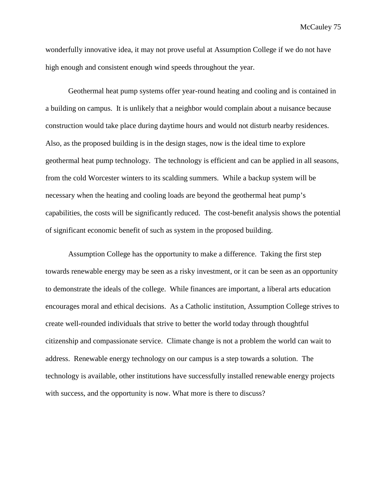McCauley 75

wonderfully innovative idea, it may not prove useful at Assumption College if we do not have high enough and consistent enough wind speeds throughout the year.

Geothermal heat pump systems offer year-round heating and cooling and is contained in a building on campus. It is unlikely that a neighbor would complain about a nuisance because construction would take place during daytime hours and would not disturb nearby residences. Also, as the proposed building is in the design stages, now is the ideal time to explore geothermal heat pump technology. The technology is efficient and can be applied in all seasons, from the cold Worcester winters to its scalding summers. While a backup system will be necessary when the heating and cooling loads are beyond the geothermal heat pump's capabilities, the costs will be significantly reduced. The cost-benefit analysis shows the potential of significant economic benefit of such as system in the proposed building.

Assumption College has the opportunity to make a difference. Taking the first step towards renewable energy may be seen as a risky investment, or it can be seen as an opportunity to demonstrate the ideals of the college. While finances are important, a liberal arts education encourages moral and ethical decisions. As a Catholic institution, Assumption College strives to create well-rounded individuals that strive to better the world today through thoughtful citizenship and compassionate service. Climate change is not a problem the world can wait to address. Renewable energy technology on our campus is a step towards a solution. The technology is available, other institutions have successfully installed renewable energy projects with success, and the opportunity is now. What more is there to discuss?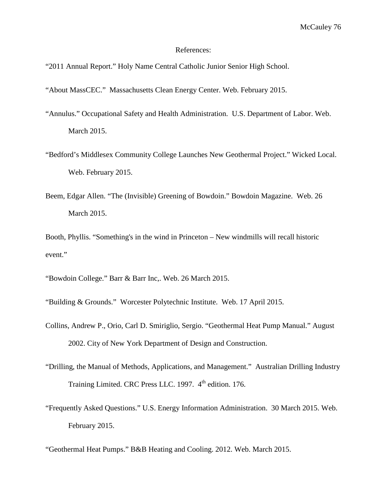## References:

"2011 Annual Report." Holy Name Central Catholic Junior Senior High School.

"About MassCEC." Massachusetts Clean Energy Center. Web. February 2015.

- "Annulus." Occupational Safety and Health Administration. U.S. Department of Labor. Web. March 2015.
- "Bedford's Middlesex Community College Launches New Geothermal Project." Wicked Local. Web. February 2015.
- Beem, Edgar Allen. "The (Invisible) Greening of Bowdoin." Bowdoin Magazine. Web. 26 March 2015.

Booth, Phyllis. "Something's in the wind in Princeton – New windmills will recall historic event."

"Bowdoin College." Barr & Barr Inc,. Web. 26 March 2015.

"Building & Grounds." Worcester Polytechnic Institute. Web. 17 April 2015.

- Collins, Andrew P., Orio, Carl D. Smiriglio, Sergio. "Geothermal Heat Pump Manual." August 2002. City of New York Department of Design and Construction.
- "Drilling, the Manual of Methods, Applications, and Management." Australian Drilling Industry Training Limited. CRC Press LLC. 1997. 4<sup>th</sup> edition. 176.
- "Frequently Asked Questions." U.S. Energy Information Administration. 30 March 2015. Web. February 2015.

"Geothermal Heat Pumps." B&B Heating and Cooling. 2012. Web. March 2015.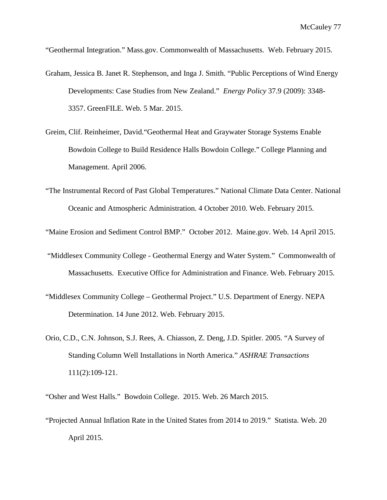"Geothermal Integration." Mass.gov. Commonwealth of Massachusetts. Web. February 2015.

- Graham, Jessica B. Janet R. Stephenson, and Inga J. Smith. "Public Perceptions of Wind Energy Developments: Case Studies from New Zealand." *Energy Policy* 37.9 (2009): 3348- 3357. GreenFILE. Web. 5 Mar. 2015.
- Greim, Clif. Reinheimer, David."Geothermal Heat and Graywater Storage Systems Enable Bowdoin College to Build Residence Halls Bowdoin College." College Planning and Management. April 2006.
- "The Instrumental Record of Past Global Temperatures." National Climate Data Center. National Oceanic and Atmospheric Administration. 4 October 2010. Web. February 2015.
- "Maine Erosion and Sediment Control BMP." October 2012. Maine.gov. Web. 14 April 2015.
- "Middlesex Community College Geothermal Energy and Water System." Commonwealth of Massachusetts. Executive Office for Administration and Finance. Web. February 2015.
- "Middlesex Community College Geothermal Project." U.S. Department of Energy. NEPA Determination. 14 June 2012. Web. February 2015.
- Orio, C.D., C.N. Johnson, S.J. Rees, A. Chiasson, Z. Deng, J.D. Spitler. 2005. "A Survey of Standing Column Well Installations in North America." *ASHRAE Transactions* 111(2):109-121.

"Osher and West Halls." Bowdoin College. 2015. Web. 26 March 2015.

"Projected Annual Inflation Rate in the United States from 2014 to 2019." Statista. Web. 20 April 2015.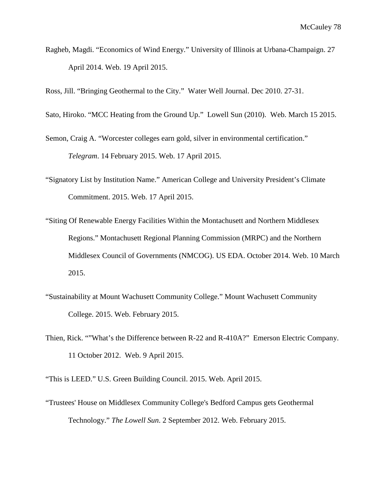Ragheb, Magdi. "Economics of Wind Energy." University of Illinois at Urbana-Champaign. 27 April 2014. Web. 19 April 2015.

Ross, Jill. "Bringing Geothermal to the City." Water Well Journal. Dec 2010. 27-31.

Sato, Hiroko. "MCC Heating from the Ground Up." Lowell Sun (2010). Web. March 15 2015.

Semon, Craig A. "Worcester colleges earn gold, silver in environmental certification." *Telegram*. 14 February 2015. Web. 17 April 2015.

- "Signatory List by Institution Name." American College and University President's Climate Commitment. 2015. Web. 17 April 2015.
- "Siting Of Renewable Energy Facilities Within the Montachusett and Northern Middlesex Regions." Montachusett Regional Planning Commission (MRPC) and the Northern Middlesex Council of Governments (NMCOG). US EDA. October 2014. Web. 10 March 2015.
- "Sustainability at Mount Wachusett Community College." Mount Wachusett Community College. 2015. Web. February 2015.
- Thien, Rick. ""What's the Difference between R-22 and R-410A?" Emerson Electric Company. 11 October 2012. Web. 9 April 2015.

"This is LEED." U.S. Green Building Council. 2015. Web. April 2015.

"Trustees' House on Middlesex Community College's Bedford Campus gets Geothermal Technology." *The Lowell Sun*. 2 September 2012. Web. February 2015.